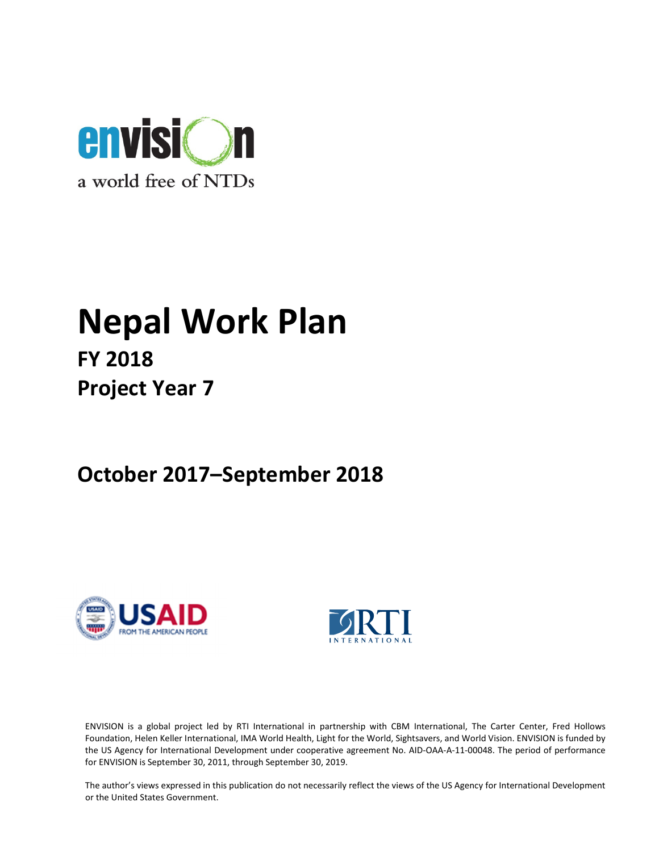

# Nepal Work Plan FY 2018 Project Year 7

October 2017–September 2018





ENVISION is a global project led by RTI International in partnership with CBM International, The Carter Center, Fred Hollows Foundation, Helen Keller International, IMA World Health, Light for the World, Sightsavers, and World Vision. ENVISION is funded by the US Agency for International Development under cooperative agreement No. AID-OAA-A-11-00048. The period of performance for ENVISION is September 30, 2011, through September 30, 2019.

The author's views expressed in this publication do not necessarily reflect the views of the US Agency for International Development or the United States Government.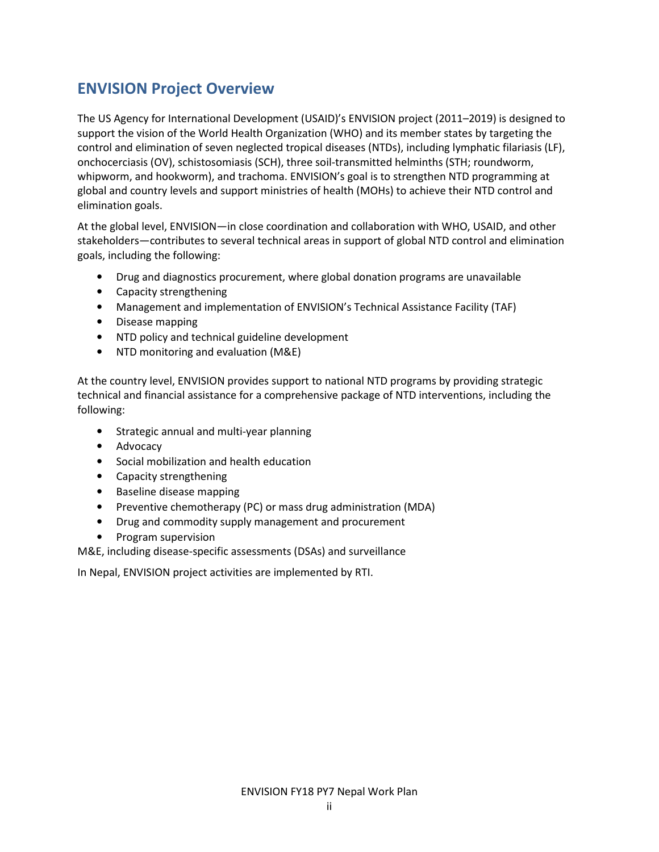# ENVISION Project Overview

The US Agency for International Development (USAID)'s ENVISION project (2011–2019) is designed to support the vision of the World Health Organization (WHO) and its member states by targeting the control and elimination of seven neglected tropical diseases (NTDs), including lymphatic filariasis (LF), onchocerciasis (OV), schistosomiasis (SCH), three soil-transmitted helminths (STH; roundworm, whipworm, and hookworm), and trachoma. ENVISION's goal is to strengthen NTD programming at global and country levels and support ministries of health (MOHs) to achieve their NTD control and elimination goals.

At the global level, ENVISION—in close coordination and collaboration with WHO, USAID, and other stakeholders—contributes to several technical areas in support of global NTD control and elimination goals, including the following:

- Drug and diagnostics procurement, where global donation programs are unavailable
- Capacity strengthening
- Management and implementation of ENVISION's Technical Assistance Facility (TAF)
- Disease mapping
- NTD policy and technical guideline development
- NTD monitoring and evaluation (M&E)

At the country level, ENVISION provides support to national NTD programs by providing strategic technical and financial assistance for a comprehensive package of NTD interventions, including the following:

- Strategic annual and multi-year planning
- Advocacy
- Social mobilization and health education
- Capacity strengthening
- Baseline disease mapping
- Preventive chemotherapy (PC) or mass drug administration (MDA)
- Drug and commodity supply management and procurement
- Program supervision

M&E, including disease-specific assessments (DSAs) and surveillance

In Nepal, ENVISION project activities are implemented by RTI.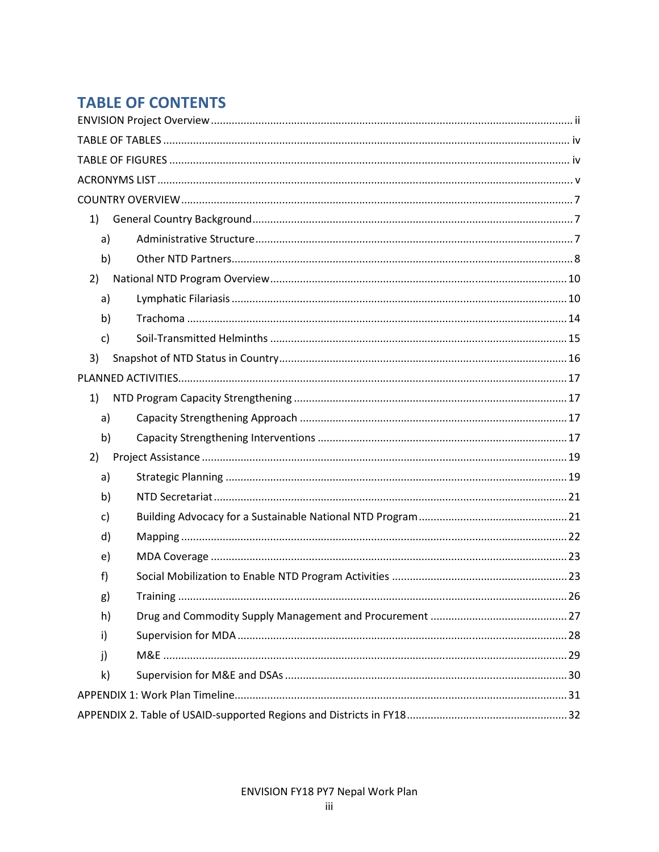# **TABLE OF CONTENTS**

| 1)                                                                                                                                                                                                                                                                                                                                                                                                                                                                                                                                                                       |
|--------------------------------------------------------------------------------------------------------------------------------------------------------------------------------------------------------------------------------------------------------------------------------------------------------------------------------------------------------------------------------------------------------------------------------------------------------------------------------------------------------------------------------------------------------------------------|
| a)                                                                                                                                                                                                                                                                                                                                                                                                                                                                                                                                                                       |
| b)                                                                                                                                                                                                                                                                                                                                                                                                                                                                                                                                                                       |
| 2)                                                                                                                                                                                                                                                                                                                                                                                                                                                                                                                                                                       |
| a)                                                                                                                                                                                                                                                                                                                                                                                                                                                                                                                                                                       |
| b)                                                                                                                                                                                                                                                                                                                                                                                                                                                                                                                                                                       |
| $\mathsf{C}$                                                                                                                                                                                                                                                                                                                                                                                                                                                                                                                                                             |
| 3)                                                                                                                                                                                                                                                                                                                                                                                                                                                                                                                                                                       |
|                                                                                                                                                                                                                                                                                                                                                                                                                                                                                                                                                                          |
| 1)                                                                                                                                                                                                                                                                                                                                                                                                                                                                                                                                                                       |
| a)                                                                                                                                                                                                                                                                                                                                                                                                                                                                                                                                                                       |
| b)                                                                                                                                                                                                                                                                                                                                                                                                                                                                                                                                                                       |
| 2)                                                                                                                                                                                                                                                                                                                                                                                                                                                                                                                                                                       |
| a)                                                                                                                                                                                                                                                                                                                                                                                                                                                                                                                                                                       |
| b)                                                                                                                                                                                                                                                                                                                                                                                                                                                                                                                                                                       |
| c)                                                                                                                                                                                                                                                                                                                                                                                                                                                                                                                                                                       |
| d)                                                                                                                                                                                                                                                                                                                                                                                                                                                                                                                                                                       |
| e)                                                                                                                                                                                                                                                                                                                                                                                                                                                                                                                                                                       |
| f)                                                                                                                                                                                                                                                                                                                                                                                                                                                                                                                                                                       |
| 26<br>g)<br>$\begin{minipage}{0.9\linewidth} Training \begin{minipage}{0.9\linewidth} \color{black} \textbf{main} \end{minipage} \begin{minipage}{0.9\linewidth} \color{black} \textbf{main} \end{minipage} \begin{minipage}{0.9\linewidth} \color{black} \textbf{main} \end{minipage} \begin{minipage}{0.9\linewidth} \color{black} \textbf{main} \end{minipage} \begin{minipage}{0.9\linewidth} \color{black} \textbf{main} \end{minipage} \begin{minipage}{0.9\linewidth} \color{black} \textbf{main} \end{minipage} \begin{minipage}{0.9\linewidth} \color{black} \$ |
| h)                                                                                                                                                                                                                                                                                                                                                                                                                                                                                                                                                                       |
| i)                                                                                                                                                                                                                                                                                                                                                                                                                                                                                                                                                                       |
| j)                                                                                                                                                                                                                                                                                                                                                                                                                                                                                                                                                                       |
| k)                                                                                                                                                                                                                                                                                                                                                                                                                                                                                                                                                                       |
|                                                                                                                                                                                                                                                                                                                                                                                                                                                                                                                                                                          |
|                                                                                                                                                                                                                                                                                                                                                                                                                                                                                                                                                                          |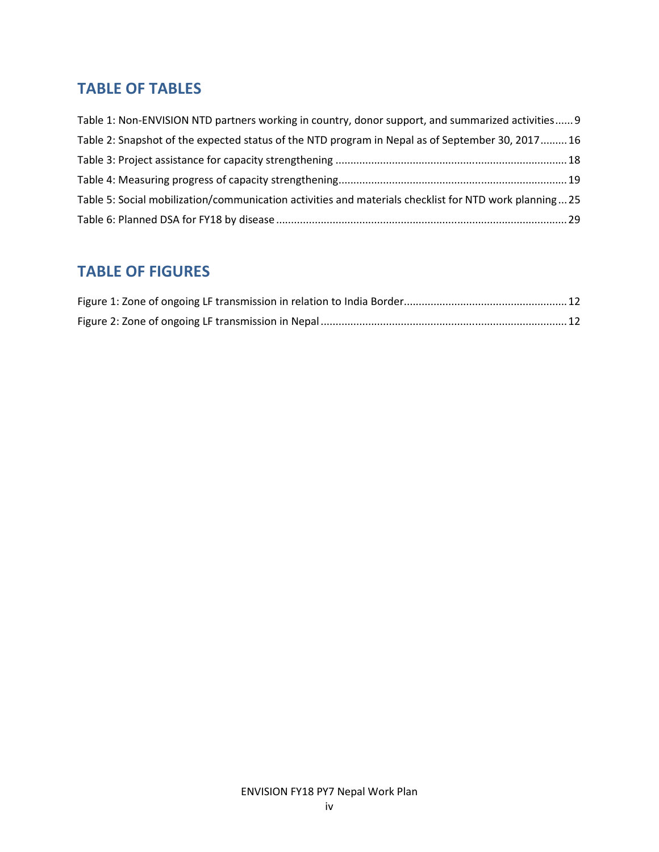# TABLE OF TABLES

| Table 1: Non-ENVISION NTD partners working in country, donor support, and summarized activities 9     |
|-------------------------------------------------------------------------------------------------------|
| Table 2: Snapshot of the expected status of the NTD program in Nepal as of September 30, 201716       |
|                                                                                                       |
|                                                                                                       |
| Table 5: Social mobilization/communication activities and materials checklist for NTD work planning25 |
|                                                                                                       |

# TABLE OF FIGURES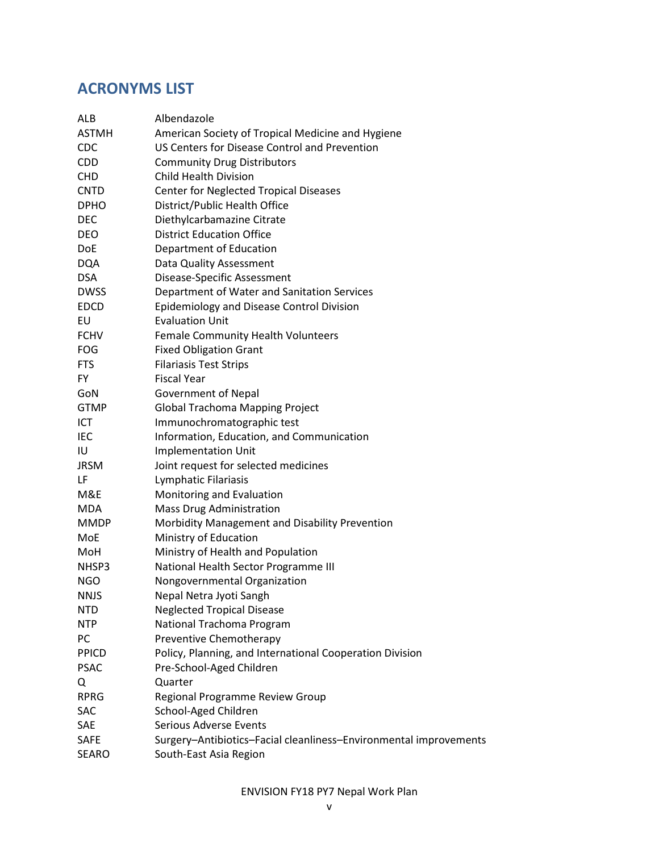# ACRONYMS LIST

| ALB          | Albendazole                                                       |
|--------------|-------------------------------------------------------------------|
| <b>ASTMH</b> | American Society of Tropical Medicine and Hygiene                 |
| <b>CDC</b>   | US Centers for Disease Control and Prevention                     |
| <b>CDD</b>   | <b>Community Drug Distributors</b>                                |
| <b>CHD</b>   | <b>Child Health Division</b>                                      |
| <b>CNTD</b>  | <b>Center for Neglected Tropical Diseases</b>                     |
| <b>DPHO</b>  | District/Public Health Office                                     |
| <b>DEC</b>   | Diethylcarbamazine Citrate                                        |
| DEO          | <b>District Education Office</b>                                  |
| DoE          | Department of Education                                           |
| <b>DQA</b>   | Data Quality Assessment                                           |
| <b>DSA</b>   | Disease-Specific Assessment                                       |
| <b>DWSS</b>  | Department of Water and Sanitation Services                       |
| <b>EDCD</b>  | <b>Epidemiology and Disease Control Division</b>                  |
| EU           | <b>Evaluation Unit</b>                                            |
| <b>FCHV</b>  | Female Community Health Volunteers                                |
| <b>FOG</b>   | <b>Fixed Obligation Grant</b>                                     |
| <b>FTS</b>   | <b>Filariasis Test Strips</b>                                     |
| FY           | <b>Fiscal Year</b>                                                |
| GoN          | <b>Government of Nepal</b>                                        |
| <b>GTMP</b>  | <b>Global Trachoma Mapping Project</b>                            |
| <b>ICT</b>   | Immunochromatographic test                                        |
| IEC          | Information, Education, and Communication                         |
| IU           | <b>Implementation Unit</b>                                        |
| <b>JRSM</b>  | Joint request for selected medicines                              |
| LF           | Lymphatic Filariasis                                              |
| M&E          | Monitoring and Evaluation                                         |
| <b>MDA</b>   | <b>Mass Drug Administration</b>                                   |
| <b>MMDP</b>  | Morbidity Management and Disability Prevention                    |
| MoE          | Ministry of Education                                             |
| MoH          | Ministry of Health and Population                                 |
| NHSP3        | National Health Sector Programme III                              |
| NGO          | Nongovernmental Organization                                      |
| NNJS         | Nepal Netra Jyoti Sangh                                           |
| <b>NTD</b>   | <b>Neglected Tropical Disease</b>                                 |
| <b>NTP</b>   | National Trachoma Program                                         |
| PC           | Preventive Chemotherapy                                           |
| <b>PPICD</b> | Policy, Planning, and International Cooperation Division          |
| <b>PSAC</b>  | Pre-School-Aged Children                                          |
| Q            | Quarter                                                           |
| <b>RPRG</b>  | Regional Programme Review Group                                   |
| SAC          | School-Aged Children                                              |
| SAE          | <b>Serious Adverse Events</b>                                     |
| <b>SAFE</b>  | Surgery-Antibiotics-Facial cleanliness-Environmental improvements |
| SEARO        | South-East Asia Region                                            |
|              |                                                                   |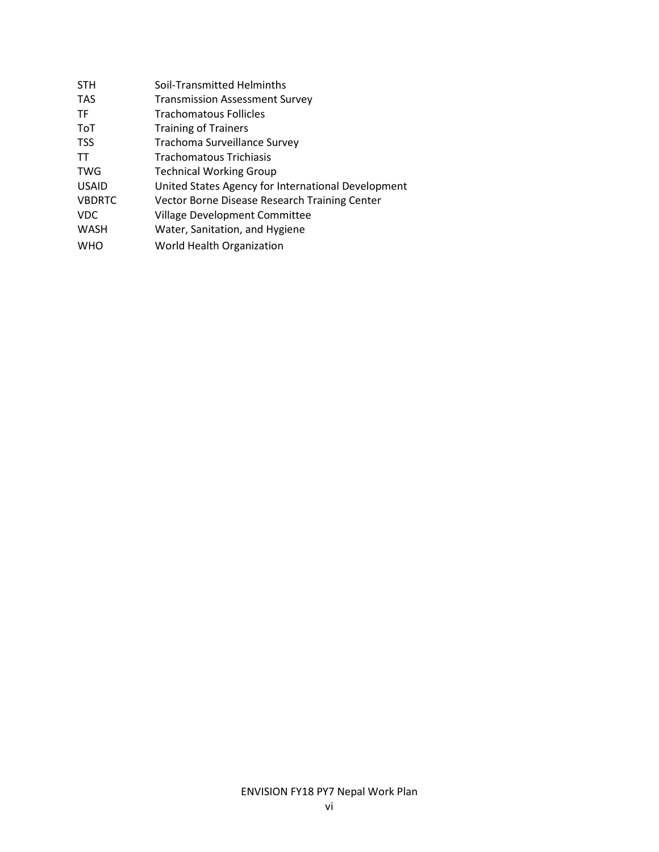| <b>STH</b>    | Soil-Transmitted Helminths                         |
|---------------|----------------------------------------------------|
| <b>TAS</b>    | <b>Transmission Assessment Survey</b>              |
| <b>TF</b>     | <b>Trachomatous Follicles</b>                      |
| <b>ToT</b>    | <b>Training of Trainers</b>                        |
| <b>TSS</b>    | Trachoma Surveillance Survey                       |
| TT            | Trachomatous Trichiasis                            |
| <b>TWG</b>    | <b>Technical Working Group</b>                     |
| <b>USAID</b>  | United States Agency for International Development |
| <b>VBDRTC</b> | Vector Borne Disease Research Training Center      |
| <b>VDC</b>    | Village Development Committee                      |
| <b>WASH</b>   | Water, Sanitation, and Hygiene                     |
| <b>WHO</b>    | World Health Organization                          |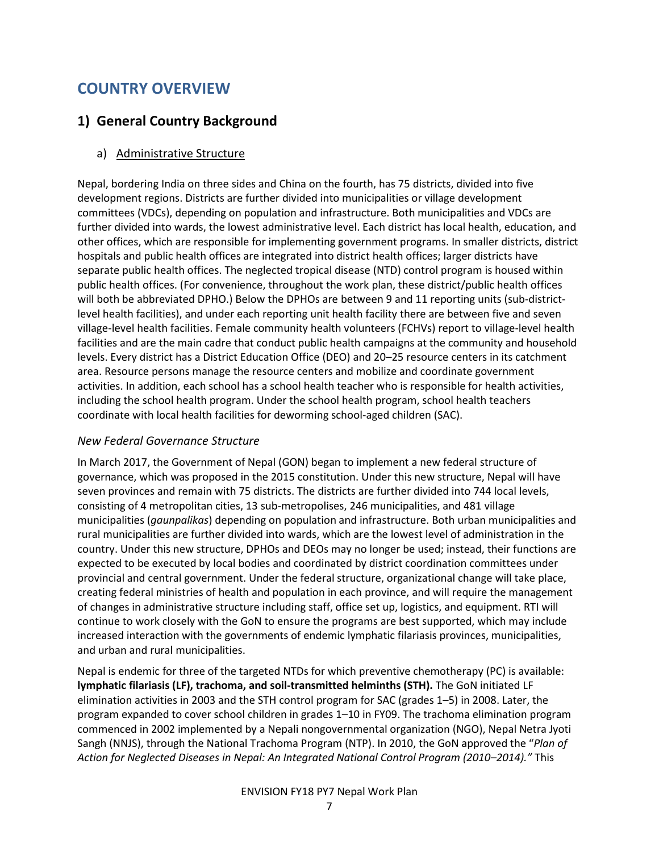# COUNTRY OVERVIEW

# 1) General Country Background

# a) Administrative Structure

Nepal, bordering India on three sides and China on the fourth, has 75 districts, divided into five development regions. Districts are further divided into municipalities or village development committees (VDCs), depending on population and infrastructure. Both municipalities and VDCs are further divided into wards, the lowest administrative level. Each district has local health, education, and other offices, which are responsible for implementing government programs. In smaller districts, district hospitals and public health offices are integrated into district health offices; larger districts have separate public health offices. The neglected tropical disease (NTD) control program is housed within public health offices. (For convenience, throughout the work plan, these district/public health offices will both be abbreviated DPHO.) Below the DPHOs are between 9 and 11 reporting units (sub-districtlevel health facilities), and under each reporting unit health facility there are between five and seven village-level health facilities. Female community health volunteers (FCHVs) report to village-level health facilities and are the main cadre that conduct public health campaigns at the community and household levels. Every district has a District Education Office (DEO) and 20–25 resource centers in its catchment area. Resource persons manage the resource centers and mobilize and coordinate government activities. In addition, each school has a school health teacher who is responsible for health activities, including the school health program. Under the school health program, school health teachers coordinate with local health facilities for deworming school-aged children (SAC).

# New Federal Governance Structure

In March 2017, the Government of Nepal (GON) began to implement a new federal structure of governance, which was proposed in the 2015 constitution. Under this new structure, Nepal will have seven provinces and remain with 75 districts. The districts are further divided into 744 local levels, consisting of 4 metropolitan cities, 13 sub-metropolises, 246 municipalities, and 481 village municipalities (gaunpalikas) depending on population and infrastructure. Both urban municipalities and rural municipalities are further divided into wards, which are the lowest level of administration in the country. Under this new structure, DPHOs and DEOs may no longer be used; instead, their functions are expected to be executed by local bodies and coordinated by district coordination committees under provincial and central government. Under the federal structure, organizational change will take place, creating federal ministries of health and population in each province, and will require the management of changes in administrative structure including staff, office set up, logistics, and equipment. RTI will continue to work closely with the GoN to ensure the programs are best supported, which may include increased interaction with the governments of endemic lymphatic filariasis provinces, municipalities, and urban and rural municipalities.

Nepal is endemic for three of the targeted NTDs for which preventive chemotherapy (PC) is available: lymphatic filariasis (LF), trachoma, and soil-transmitted helminths (STH). The GoN initiated LF elimination activities in 2003 and the STH control program for SAC (grades 1–5) in 2008. Later, the program expanded to cover school children in grades 1–10 in FY09. The trachoma elimination program commenced in 2002 implemented by a Nepali nongovernmental organization (NGO), Nepal Netra Jyoti Sangh (NNJS), through the National Trachoma Program (NTP). In 2010, the GoN approved the "Plan of Action for Neglected Diseases in Nepal: An Integrated National Control Program (2010–2014)." This

#### ENVISION FY18 PY7 Nepal Work Plan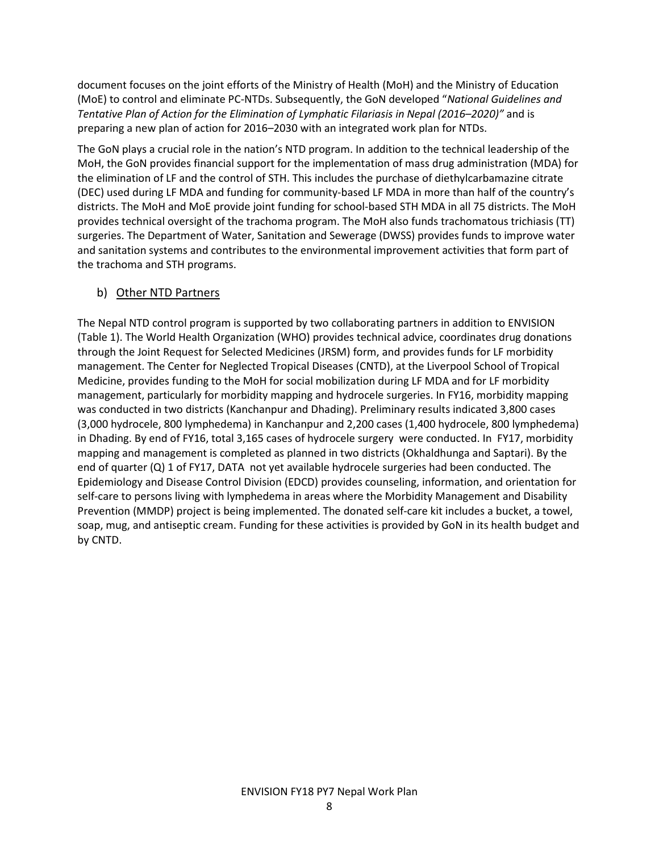document focuses on the joint efforts of the Ministry of Health (MoH) and the Ministry of Education (MoE) to control and eliminate PC-NTDs. Subsequently, the GoN developed "National Guidelines and Tentative Plan of Action for the Elimination of Lymphatic Filariasis in Nepal (2016–2020)" and is preparing a new plan of action for 2016–2030 with an integrated work plan for NTDs.

The GoN plays a crucial role in the nation's NTD program. In addition to the technical leadership of the MoH, the GoN provides financial support for the implementation of mass drug administration (MDA) for the elimination of LF and the control of STH. This includes the purchase of diethylcarbamazine citrate (DEC) used during LF MDA and funding for community-based LF MDA in more than half of the country's districts. The MoH and MoE provide joint funding for school-based STH MDA in all 75 districts. The MoH provides technical oversight of the trachoma program. The MoH also funds trachomatous trichiasis (TT) surgeries. The Department of Water, Sanitation and Sewerage (DWSS) provides funds to improve water and sanitation systems and contributes to the environmental improvement activities that form part of the trachoma and STH programs.

#### b) Other NTD Partners

The Nepal NTD control program is supported by two collaborating partners in addition to ENVISION (Table 1). The World Health Organization (WHO) provides technical advice, coordinates drug donations through the Joint Request for Selected Medicines (JRSM) form, and provides funds for LF morbidity management. The Center for Neglected Tropical Diseases (CNTD), at the Liverpool School of Tropical Medicine, provides funding to the MoH for social mobilization during LF MDA and for LF morbidity management, particularly for morbidity mapping and hydrocele surgeries. In FY16, morbidity mapping was conducted in two districts (Kanchanpur and Dhading). Preliminary results indicated 3,800 cases (3,000 hydrocele, 800 lymphedema) in Kanchanpur and 2,200 cases (1,400 hydrocele, 800 lymphedema) in Dhading. By end of FY16, total 3,165 cases of hydrocele surgery were conducted. In FY17, morbidity mapping and management is completed as planned in two districts (Okhaldhunga and Saptari). By the end of quarter (Q) 1 of FY17, DATA not yet available hydrocele surgeries had been conducted. The Epidemiology and Disease Control Division (EDCD) provides counseling, information, and orientation for self-care to persons living with lymphedema in areas where the Morbidity Management and Disability Prevention (MMDP) project is being implemented. The donated self-care kit includes a bucket, a towel, soap, mug, and antiseptic cream. Funding for these activities is provided by GoN in its health budget and by CNTD.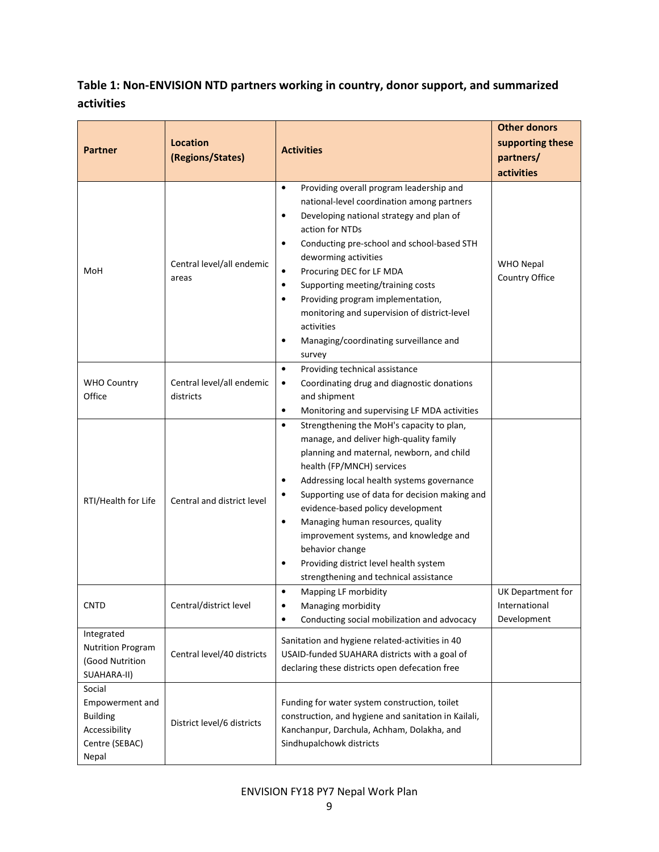# Table 1: Non-ENVISION NTD partners working in country, donor support, and summarized activities

| <b>Partner</b>                                                                           | <b>Location</b><br>(Regions/States)    | <b>Activities</b>                                                                                                                                                                                                                                                                                                                                                                                                                                                                                                                             | <b>Other donors</b><br>supporting these<br>partners/<br>activities |
|------------------------------------------------------------------------------------------|----------------------------------------|-----------------------------------------------------------------------------------------------------------------------------------------------------------------------------------------------------------------------------------------------------------------------------------------------------------------------------------------------------------------------------------------------------------------------------------------------------------------------------------------------------------------------------------------------|--------------------------------------------------------------------|
| MoH                                                                                      | Central level/all endemic<br>areas     | Providing overall program leadership and<br>$\bullet$<br>national-level coordination among partners<br>Developing national strategy and plan of<br>$\bullet$<br>action for NTDs<br>Conducting pre-school and school-based STH<br>٠<br>deworming activities<br>Procuring DEC for LF MDA<br>$\bullet$<br>Supporting meeting/training costs<br>$\bullet$<br>Providing program implementation,<br>$\bullet$<br>monitoring and supervision of district-level<br>activities<br>Managing/coordinating surveillance and<br>٠<br>survey                | <b>WHO Nepal</b><br>Country Office                                 |
| <b>WHO Country</b><br>Office                                                             | Central level/all endemic<br>districts | Providing technical assistance<br>$\bullet$<br>Coordinating drug and diagnostic donations<br>$\bullet$<br>and shipment<br>Monitoring and supervising LF MDA activities<br>$\bullet$                                                                                                                                                                                                                                                                                                                                                           |                                                                    |
| RTI/Health for Life                                                                      | Central and district level             | Strengthening the MoH's capacity to plan,<br>$\bullet$<br>manage, and deliver high-quality family<br>planning and maternal, newborn, and child<br>health (FP/MNCH) services<br>Addressing local health systems governance<br>$\bullet$<br>Supporting use of data for decision making and<br>evidence-based policy development<br>Managing human resources, quality<br>$\bullet$<br>improvement systems, and knowledge and<br>behavior change<br>Providing district level health system<br>$\bullet$<br>strengthening and technical assistance |                                                                    |
| CNTD                                                                                     | Central/district level                 | Mapping LF morbidity<br>٠<br>$\bullet$<br>Managing morbidity<br>Conducting social mobilization and advocacy<br>٠                                                                                                                                                                                                                                                                                                                                                                                                                              | UK Department for<br>International<br>Development                  |
| Integrated<br><b>Nutrition Program</b><br>(Good Nutrition<br>SUAHARA-II)                 | Central level/40 districts             | Sanitation and hygiene related-activities in 40<br>USAID-funded SUAHARA districts with a goal of<br>declaring these districts open defecation free                                                                                                                                                                                                                                                                                                                                                                                            |                                                                    |
| Social<br>Empowerment and<br><b>Building</b><br>Accessibility<br>Centre (SEBAC)<br>Nepal | District level/6 districts             | Funding for water system construction, toilet<br>construction, and hygiene and sanitation in Kailali,<br>Kanchanpur, Darchula, Achham, Dolakha, and<br>Sindhupalchowk districts                                                                                                                                                                                                                                                                                                                                                               |                                                                    |

# ENVISION FY18 PY7 Nepal Work Plan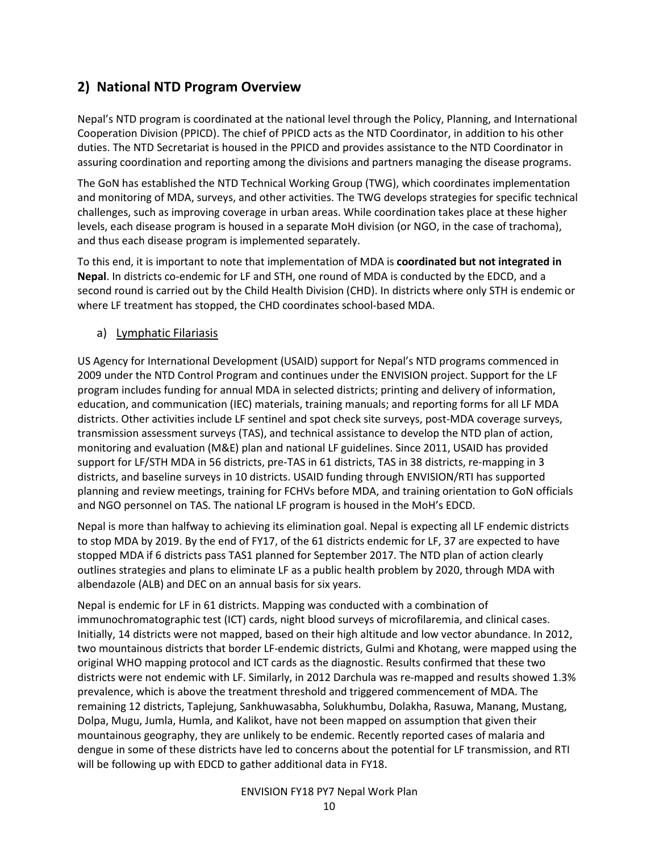# 2) National NTD Program Overview

Nepal's NTD program is coordinated at the national level through the Policy, Planning, and International Cooperation Division (PPICD). The chief of PPICD acts as the NTD Coordinator, in addition to his other duties. The NTD Secretariat is housed in the PPICD and provides assistance to the NTD Coordinator in assuring coordination and reporting among the divisions and partners managing the disease programs.

The GoN has established the NTD Technical Working Group (TWG), which coordinates implementation and monitoring of MDA, surveys, and other activities. The TWG develops strategies for specific technical challenges, such as improving coverage in urban areas. While coordination takes place at these higher levels, each disease program is housed in a separate MoH division (or NGO, in the case of trachoma), and thus each disease program is implemented separately.

To this end, it is important to note that implementation of MDA is coordinated but not integrated in Nepal. In districts co-endemic for LF and STH, one round of MDA is conducted by the EDCD, and a second round is carried out by the Child Health Division (CHD). In districts where only STH is endemic or where LF treatment has stopped, the CHD coordinates school-based MDA.

#### a) Lymphatic Filariasis

US Agency for International Development (USAID) support for Nepal's NTD programs commenced in 2009 under the NTD Control Program and continues under the ENVISION project. Support for the LF program includes funding for annual MDA in selected districts; printing and delivery of information, education, and communication (IEC) materials, training manuals; and reporting forms for all LF MDA districts. Other activities include LF sentinel and spot check site surveys, post-MDA coverage surveys, transmission assessment surveys (TAS), and technical assistance to develop the NTD plan of action, monitoring and evaluation (M&E) plan and national LF guidelines. Since 2011, USAID has provided support for LF/STH MDA in 56 districts, pre-TAS in 61 districts, TAS in 38 districts, re-mapping in 3 districts, and baseline surveys in 10 districts. USAID funding through ENVISION/RTI has supported planning and review meetings, training for FCHVs before MDA, and training orientation to GoN officials and NGO personnel on TAS. The national LF program is housed in the MoH's EDCD.

Nepal is more than halfway to achieving its elimination goal. Nepal is expecting all LF endemic districts to stop MDA by 2019. By the end of FY17, of the 61 districts endemic for LF, 37 are expected to have stopped MDA if 6 districts pass TAS1 planned for September 2017. The NTD plan of action clearly outlines strategies and plans to eliminate LF as a public health problem by 2020, through MDA with albendazole (ALB) and DEC on an annual basis for six years.

Nepal is endemic for LF in 61 districts. Mapping was conducted with a combination of immunochromatographic test (ICT) cards, night blood surveys of microfilaremia, and clinical cases. Initially, 14 districts were not mapped, based on their high altitude and low vector abundance. In 2012, two mountainous districts that border LF-endemic districts, Gulmi and Khotang, were mapped using the original WHO mapping protocol and ICT cards as the diagnostic. Results confirmed that these two districts were not endemic with LF. Similarly, in 2012 Darchula was re-mapped and results showed 1.3% prevalence, which is above the treatment threshold and triggered commencement of MDA. The remaining 12 districts, Taplejung, Sankhuwasabha, Solukhumbu, Dolakha, Rasuwa, Manang, Mustang, Dolpa, Mugu, Jumla, Humla, and Kalikot, have not been mapped on assumption that given their mountainous geography, they are unlikely to be endemic. Recently reported cases of malaria and dengue in some of these districts have led to concerns about the potential for LF transmission, and RTI will be following up with EDCD to gather additional data in FY18.

#### ENVISION FY18 PY7 Nepal Work Plan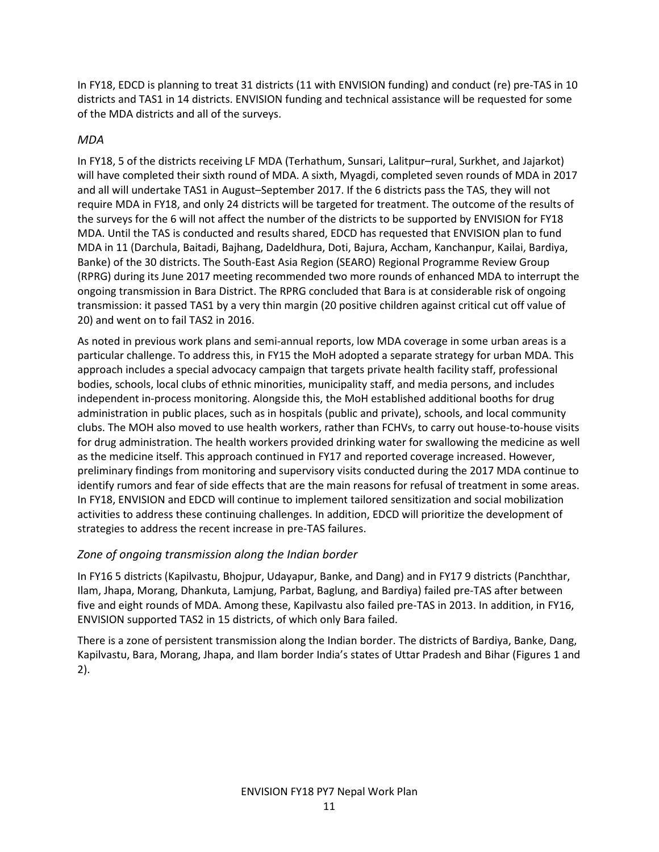In FY18, EDCD is planning to treat 31 districts (11 with ENVISION funding) and conduct (re) pre-TAS in 10 districts and TAS1 in 14 districts. ENVISION funding and technical assistance will be requested for some of the MDA districts and all of the surveys.

### MDA

In FY18, 5 of the districts receiving LF MDA (Terhathum, Sunsari, Lalitpur–rural, Surkhet, and Jajarkot) will have completed their sixth round of MDA. A sixth, Myagdi, completed seven rounds of MDA in 2017 and all will undertake TAS1 in August–September 2017. If the 6 districts pass the TAS, they will not require MDA in FY18, and only 24 districts will be targeted for treatment. The outcome of the results of the surveys for the 6 will not affect the number of the districts to be supported by ENVISION for FY18 MDA. Until the TAS is conducted and results shared, EDCD has requested that ENVISION plan to fund MDA in 11 (Darchula, Baitadi, Bajhang, Dadeldhura, Doti, Bajura, Accham, Kanchanpur, Kailai, Bardiya, Banke) of the 30 districts. The South-East Asia Region (SEARO) Regional Programme Review Group (RPRG) during its June 2017 meeting recommended two more rounds of enhanced MDA to interrupt the ongoing transmission in Bara District. The RPRG concluded that Bara is at considerable risk of ongoing transmission: it passed TAS1 by a very thin margin (20 positive children against critical cut off value of 20) and went on to fail TAS2 in 2016.

As noted in previous work plans and semi-annual reports, low MDA coverage in some urban areas is a particular challenge. To address this, in FY15 the MoH adopted a separate strategy for urban MDA. This approach includes a special advocacy campaign that targets private health facility staff, professional bodies, schools, local clubs of ethnic minorities, municipality staff, and media persons, and includes independent in-process monitoring. Alongside this, the MoH established additional booths for drug administration in public places, such as in hospitals (public and private), schools, and local community clubs. The MOH also moved to use health workers, rather than FCHVs, to carry out house-to-house visits for drug administration. The health workers provided drinking water for swallowing the medicine as well as the medicine itself. This approach continued in FY17 and reported coverage increased. However, preliminary findings from monitoring and supervisory visits conducted during the 2017 MDA continue to identify rumors and fear of side effects that are the main reasons for refusal of treatment in some areas. In FY18, ENVISION and EDCD will continue to implement tailored sensitization and social mobilization activities to address these continuing challenges. In addition, EDCD will prioritize the development of strategies to address the recent increase in pre-TAS failures.

#### Zone of ongoing transmission along the Indian border

In FY16 5 districts (Kapilvastu, Bhojpur, Udayapur, Banke, and Dang) and in FY17 9 districts (Panchthar, Ilam, Jhapa, Morang, Dhankuta, Lamjung, Parbat, Baglung, and Bardiya) failed pre-TAS after between five and eight rounds of MDA. Among these, Kapilvastu also failed pre-TAS in 2013. In addition, in FY16, ENVISION supported TAS2 in 15 districts, of which only Bara failed.

There is a zone of persistent transmission along the Indian border. The districts of Bardiya, Banke, Dang, Kapilvastu, Bara, Morang, Jhapa, and Ilam border India's states of Uttar Pradesh and Bihar (Figures 1 and 2).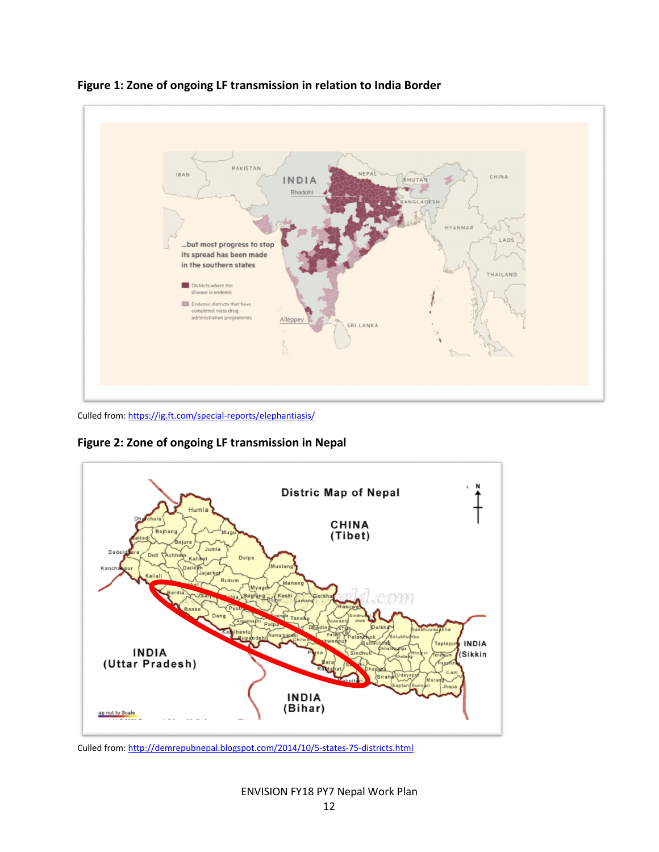

Figure 1: Zone of ongoing LF transmission in relation to India Border

Culled from: https://ig.ft.com/special-reports/elephantiasis/

Figure 2: Zone of ongoing LF transmission in Nepal



Culled from: http://demrepubnepal.blogspot.com/2014/10/5-states-75-districts.html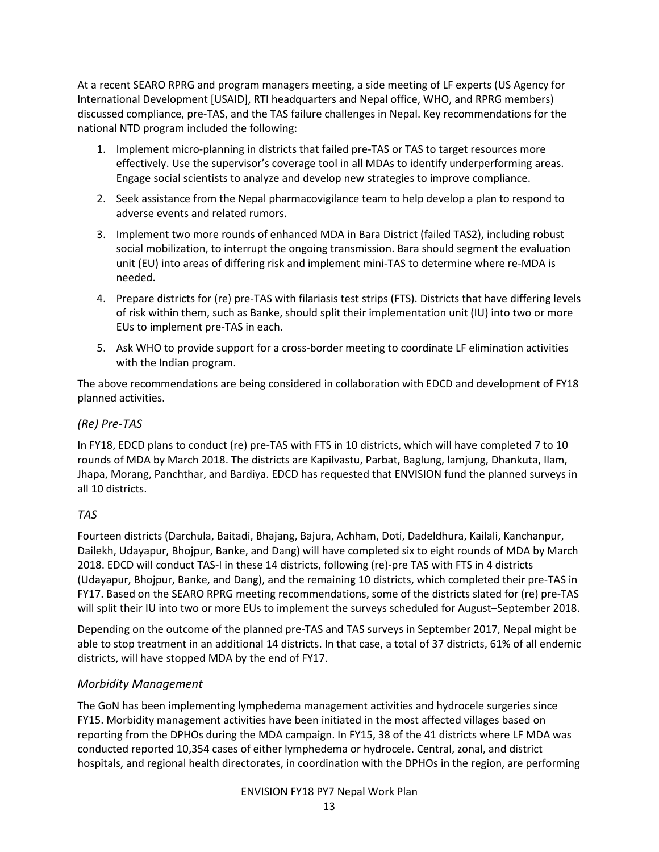At a recent SEARO RPRG and program managers meeting, a side meeting of LF experts (US Agency for International Development [USAID], RTI headquarters and Nepal office, WHO, and RPRG members) discussed compliance, pre-TAS, and the TAS failure challenges in Nepal. Key recommendations for the national NTD program included the following:

- 1. Implement micro-planning in districts that failed pre-TAS or TAS to target resources more effectively. Use the supervisor's coverage tool in all MDAs to identify underperforming areas. Engage social scientists to analyze and develop new strategies to improve compliance.
- 2. Seek assistance from the Nepal pharmacovigilance team to help develop a plan to respond to adverse events and related rumors.
- 3. Implement two more rounds of enhanced MDA in Bara District (failed TAS2), including robust social mobilization, to interrupt the ongoing transmission. Bara should segment the evaluation unit (EU) into areas of differing risk and implement mini-TAS to determine where re-MDA is needed.
- 4. Prepare districts for (re) pre-TAS with filariasis test strips (FTS). Districts that have differing levels of risk within them, such as Banke, should split their implementation unit (IU) into two or more EUs to implement pre-TAS in each.
- 5. Ask WHO to provide support for a cross-border meeting to coordinate LF elimination activities with the Indian program.

The above recommendations are being considered in collaboration with EDCD and development of FY18 planned activities.

### (Re) Pre-TAS

In FY18, EDCD plans to conduct (re) pre-TAS with FTS in 10 districts, which will have completed 7 to 10 rounds of MDA by March 2018. The districts are Kapilvastu, Parbat, Baglung, lamjung, Dhankuta, Ilam, Jhapa, Morang, Panchthar, and Bardiya. EDCD has requested that ENVISION fund the planned surveys in all 10 districts.

# TAS

Fourteen districts (Darchula, Baitadi, Bhajang, Bajura, Achham, Doti, Dadeldhura, Kailali, Kanchanpur, Dailekh, Udayapur, Bhojpur, Banke, and Dang) will have completed six to eight rounds of MDA by March 2018. EDCD will conduct TAS-I in these 14 districts, following (re)-pre TAS with FTS in 4 districts (Udayapur, Bhojpur, Banke, and Dang), and the remaining 10 districts, which completed their pre-TAS in FY17. Based on the SEARO RPRG meeting recommendations, some of the districts slated for (re) pre-TAS will split their IU into two or more EUs to implement the surveys scheduled for August–September 2018.

Depending on the outcome of the planned pre-TAS and TAS surveys in September 2017, Nepal might be able to stop treatment in an additional 14 districts. In that case, a total of 37 districts, 61% of all endemic districts, will have stopped MDA by the end of FY17.

# Morbidity Management

The GoN has been implementing lymphedema management activities and hydrocele surgeries since FY15. Morbidity management activities have been initiated in the most affected villages based on reporting from the DPHOs during the MDA campaign. In FY15, 38 of the 41 districts where LF MDA was conducted reported 10,354 cases of either lymphedema or hydrocele. Central, zonal, and district hospitals, and regional health directorates, in coordination with the DPHOs in the region, are performing

#### ENVISION FY18 PY7 Nepal Work Plan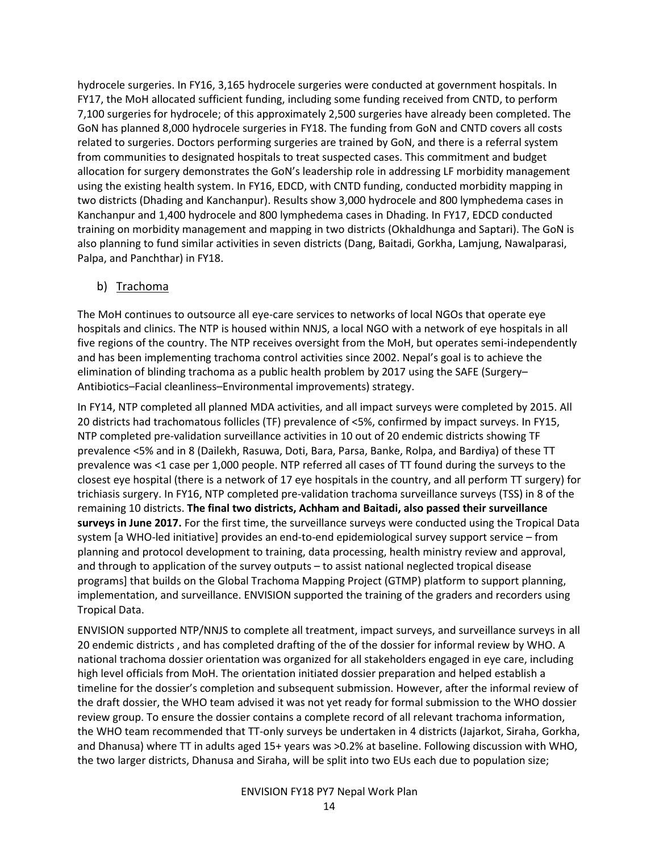hydrocele surgeries. In FY16, 3,165 hydrocele surgeries were conducted at government hospitals. In FY17, the MoH allocated sufficient funding, including some funding received from CNTD, to perform 7,100 surgeries for hydrocele; of this approximately 2,500 surgeries have already been completed. The GoN has planned 8,000 hydrocele surgeries in FY18. The funding from GoN and CNTD covers all costs related to surgeries. Doctors performing surgeries are trained by GoN, and there is a referral system from communities to designated hospitals to treat suspected cases. This commitment and budget allocation for surgery demonstrates the GoN's leadership role in addressing LF morbidity management using the existing health system. In FY16, EDCD, with CNTD funding, conducted morbidity mapping in two districts (Dhading and Kanchanpur). Results show 3,000 hydrocele and 800 lymphedema cases in Kanchanpur and 1,400 hydrocele and 800 lymphedema cases in Dhading. In FY17, EDCD conducted training on morbidity management and mapping in two districts (Okhaldhunga and Saptari). The GoN is also planning to fund similar activities in seven districts (Dang, Baitadi, Gorkha, Lamjung, Nawalparasi, Palpa, and Panchthar) in FY18.

#### b) Trachoma

The MoH continues to outsource all eye-care services to networks of local NGOs that operate eye hospitals and clinics. The NTP is housed within NNJS, a local NGO with a network of eye hospitals in all five regions of the country. The NTP receives oversight from the MoH, but operates semi-independently and has been implementing trachoma control activities since 2002. Nepal's goal is to achieve the elimination of blinding trachoma as a public health problem by 2017 using the SAFE (Surgery– Antibiotics–Facial cleanliness–Environmental improvements) strategy.

In FY14, NTP completed all planned MDA activities, and all impact surveys were completed by 2015. All 20 districts had trachomatous follicles (TF) prevalence of <5%, confirmed by impact surveys. In FY15, NTP completed pre-validation surveillance activities in 10 out of 20 endemic districts showing TF prevalence <5% and in 8 (Dailekh, Rasuwa, Doti, Bara, Parsa, Banke, Rolpa, and Bardiya) of these TT prevalence was <1 case per 1,000 people. NTP referred all cases of TT found during the surveys to the closest eye hospital (there is a network of 17 eye hospitals in the country, and all perform TT surgery) for trichiasis surgery. In FY16, NTP completed pre-validation trachoma surveillance surveys (TSS) in 8 of the remaining 10 districts. The final two districts, Achham and Baitadi, also passed their surveillance surveys in June 2017. For the first time, the surveillance surveys were conducted using the Tropical Data system [a WHO-led initiative] provides an end-to-end epidemiological survey support service – from planning and protocol development to training, data processing, health ministry review and approval, and through to application of the survey outputs – to assist national neglected tropical disease programs] that builds on the Global Trachoma Mapping Project (GTMP) platform to support planning, implementation, and surveillance. ENVISION supported the training of the graders and recorders using Tropical Data.

ENVISION supported NTP/NNJS to complete all treatment, impact surveys, and surveillance surveys in all 20 endemic districts , and has completed drafting of the of the dossier for informal review by WHO. A national trachoma dossier orientation was organized for all stakeholders engaged in eye care, including high level officials from MoH. The orientation initiated dossier preparation and helped establish a timeline for the dossier's completion and subsequent submission. However, after the informal review of the draft dossier, the WHO team advised it was not yet ready for formal submission to the WHO dossier review group. To ensure the dossier contains a complete record of all relevant trachoma information, the WHO team recommended that TT-only surveys be undertaken in 4 districts (Jajarkot, Siraha, Gorkha, and Dhanusa) where TT in adults aged 15+ years was >0.2% at baseline. Following discussion with WHO, the two larger districts, Dhanusa and Siraha, will be split into two EUs each due to population size;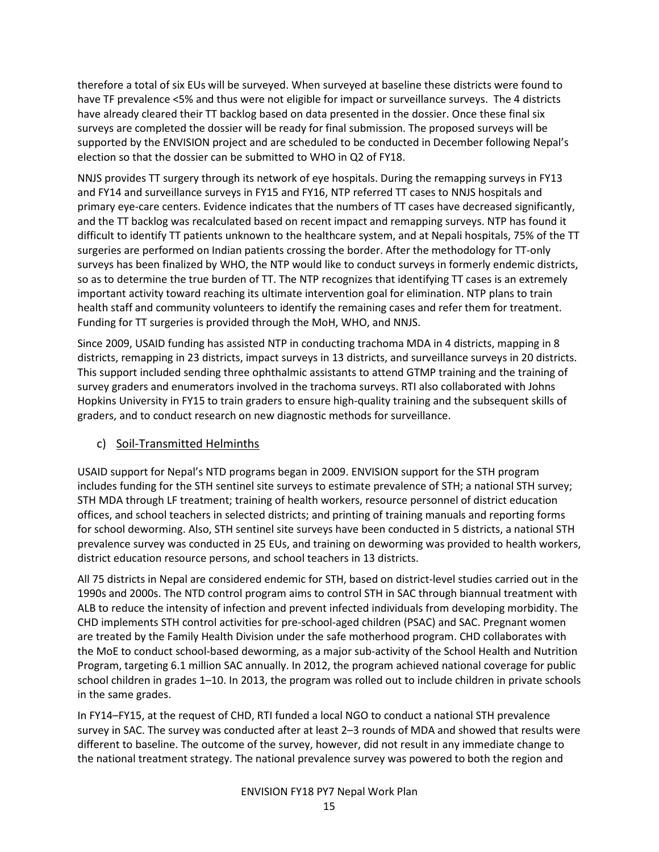therefore a total of six EUs will be surveyed. When surveyed at baseline these districts were found to have TF prevalence <5% and thus were not eligible for impact or surveillance surveys. The 4 districts have already cleared their TT backlog based on data presented in the dossier. Once these final six surveys are completed the dossier will be ready for final submission. The proposed surveys will be supported by the ENVISION project and are scheduled to be conducted in December following Nepal's election so that the dossier can be submitted to WHO in Q2 of FY18.

NNJS provides TT surgery through its network of eye hospitals. During the remapping surveys in FY13 and FY14 and surveillance surveys in FY15 and FY16, NTP referred TT cases to NNJS hospitals and primary eye-care centers. Evidence indicates that the numbers of TT cases have decreased significantly, and the TT backlog was recalculated based on recent impact and remapping surveys. NTP has found it difficult to identify TT patients unknown to the healthcare system, and at Nepali hospitals, 75% of the TT surgeries are performed on Indian patients crossing the border. After the methodology for TT-only surveys has been finalized by WHO, the NTP would like to conduct surveys in formerly endemic districts, so as to determine the true burden of TT. The NTP recognizes that identifying TT cases is an extremely important activity toward reaching its ultimate intervention goal for elimination. NTP plans to train health staff and community volunteers to identify the remaining cases and refer them for treatment. Funding for TT surgeries is provided through the MoH, WHO, and NNJS.

Since 2009, USAID funding has assisted NTP in conducting trachoma MDA in 4 districts, mapping in 8 districts, remapping in 23 districts, impact surveys in 13 districts, and surveillance surveys in 20 districts. This support included sending three ophthalmic assistants to attend GTMP training and the training of survey graders and enumerators involved in the trachoma surveys. RTI also collaborated with Johns Hopkins University in FY15 to train graders to ensure high-quality training and the subsequent skills of graders, and to conduct research on new diagnostic methods for surveillance.

#### c) Soil-Transmitted Helminths

USAID support for Nepal's NTD programs began in 2009. ENVISION support for the STH program includes funding for the STH sentinel site surveys to estimate prevalence of STH; a national STH survey; STH MDA through LF treatment; training of health workers, resource personnel of district education offices, and school teachers in selected districts; and printing of training manuals and reporting forms for school deworming. Also, STH sentinel site surveys have been conducted in 5 districts, a national STH prevalence survey was conducted in 25 EUs, and training on deworming was provided to health workers, district education resource persons, and school teachers in 13 districts.

All 75 districts in Nepal are considered endemic for STH, based on district-level studies carried out in the 1990s and 2000s. The NTD control program aims to control STH in SAC through biannual treatment with ALB to reduce the intensity of infection and prevent infected individuals from developing morbidity. The CHD implements STH control activities for pre-school-aged children (PSAC) and SAC. Pregnant women are treated by the Family Health Division under the safe motherhood program. CHD collaborates with the MoE to conduct school-based deworming, as a major sub-activity of the School Health and Nutrition Program, targeting 6.1 million SAC annually. In 2012, the program achieved national coverage for public school children in grades 1–10. In 2013, the program was rolled out to include children in private schools in the same grades.

In FY14–FY15, at the request of CHD, RTI funded a local NGO to conduct a national STH prevalence survey in SAC. The survey was conducted after at least 2–3 rounds of MDA and showed that results were different to baseline. The outcome of the survey, however, did not result in any immediate change to the national treatment strategy. The national prevalence survey was powered to both the region and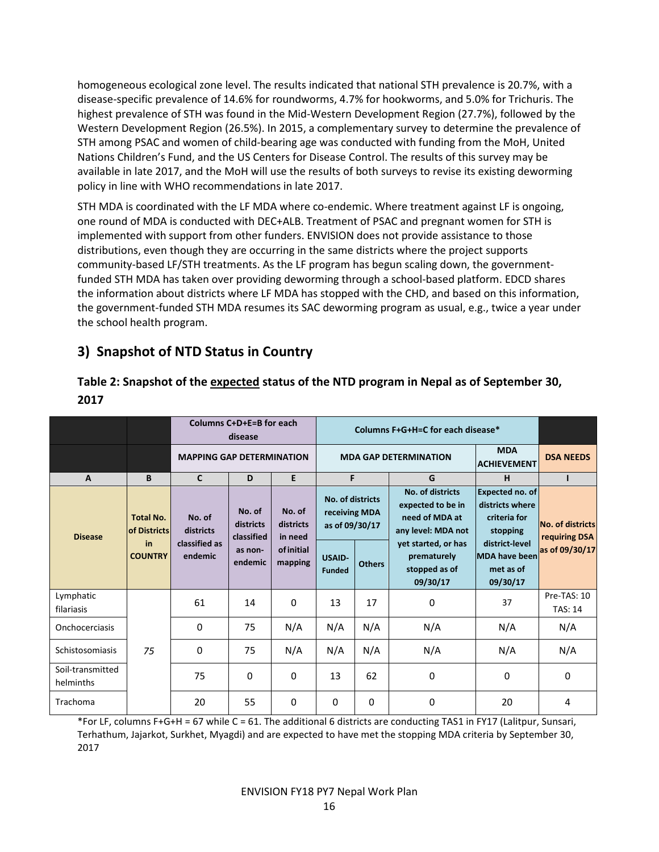homogeneous ecological zone level. The results indicated that national STH prevalence is 20.7%, with a disease-specific prevalence of 14.6% for roundworms, 4.7% for hookworms, and 5.0% for Trichuris. The highest prevalence of STH was found in the Mid-Western Development Region (27.7%), followed by the Western Development Region (26.5%). In 2015, a complementary survey to determine the prevalence of STH among PSAC and women of child-bearing age was conducted with funding from the MoH, United Nations Children's Fund, and the US Centers for Disease Control. The results of this survey may be available in late 2017, and the MoH will use the results of both surveys to revise its existing deworming policy in line with WHO recommendations in late 2017.

STH MDA is coordinated with the LF MDA where co-endemic. Where treatment against LF is ongoing, one round of MDA is conducted with DEC+ALB. Treatment of PSAC and pregnant women for STH is implemented with support from other funders. ENVISION does not provide assistance to those distributions, even though they are occurring in the same districts where the project supports community-based LF/STH treatments. As the LF program has begun scaling down, the governmentfunded STH MDA has taken over providing deworming through a school-based platform. EDCD shares the information about districts where LF MDA has stopped with the CHD, and based on this information, the government-funded STH MDA resumes its SAC deworming program as usual, e.g., twice a year under the school health program.

# 3) Snapshot of NTD Status in Country

|                               |                                         | Columns C+D+E=B for each<br>disease |                                   | Columns F+G+H=C for each disease* |                                                                                                        |          |                                                                               |                                                                       |                                          |   |   |
|-------------------------------|-----------------------------------------|-------------------------------------|-----------------------------------|-----------------------------------|--------------------------------------------------------------------------------------------------------|----------|-------------------------------------------------------------------------------|-----------------------------------------------------------------------|------------------------------------------|---|---|
|                               |                                         | <b>MAPPING GAP DETERMINATION</b>    |                                   |                                   | <b>MDA</b><br><b>MDA GAP DETERMINATION</b><br><b>ACHIEVEMENT</b>                                       |          |                                                                               |                                                                       | <b>DSA NEEDS</b>                         |   |   |
| $\overline{A}$                | B                                       | $\mathsf{C}$                        | D                                 | E                                 | F                                                                                                      |          |                                                                               |                                                                       | G                                        | H | п |
| <b>Disease</b>                | <b>Total No.</b><br><b>of Districts</b> | No. of<br>districts                 | No. of<br>districts<br>classified | No. of<br>districts<br>in need    | No. of districts<br>receiving MDA<br>as of 09/30/17<br><b>USAID-</b><br><b>Others</b><br><b>Funded</b> |          | No. of districts<br>expected to be in<br>need of MDA at<br>any level: MDA not | <b>Expected no. of</b><br>districts where<br>criteria for<br>stopping | <b>No. of districts</b><br>requiring DSA |   |   |
|                               | in<br><b>COUNTRY</b>                    | classified as<br>endemic            | as non-<br>endemic                | of initial<br>mapping             |                                                                                                        |          | yet started, or has<br>prematurely<br>stopped as of<br>09/30/17               | district-level<br><b>MDA</b> have been<br>met as of<br>09/30/17       | as of 09/30/17                           |   |   |
| Lymphatic<br>filariasis       |                                         | 61                                  | 14                                | 0                                 | 13                                                                                                     | 17       | 0                                                                             | 37                                                                    | Pre-TAS: 10<br><b>TAS: 14</b>            |   |   |
| Onchocerciasis                |                                         | $\Omega$                            | 75                                | N/A                               | N/A                                                                                                    | N/A      | N/A                                                                           | N/A                                                                   | N/A                                      |   |   |
| Schistosomiasis               | 75                                      | 0                                   | 75                                | N/A                               | N/A                                                                                                    | N/A      | N/A                                                                           | N/A                                                                   | N/A                                      |   |   |
| Soil-transmitted<br>helminths |                                         | 75                                  | 0                                 | 0                                 | 13                                                                                                     | 62       | 0                                                                             | $\Omega$                                                              | 0                                        |   |   |
| Trachoma                      |                                         | 20                                  | 55                                | 0                                 | 0                                                                                                      | $\Omega$ | 0                                                                             | 20                                                                    | 4                                        |   |   |

# Table 2: Snapshot of the expected status of the NTD program in Nepal as of September 30, 2017

\*For LF, columns F+G+H = 67 while C = 61. The additional 6 districts are conducting TAS1 in FY17 (Lalitpur, Sunsari, Terhathum, Jajarkot, Surkhet, Myagdi) and are expected to have met the stopping MDA criteria by September 30, 2017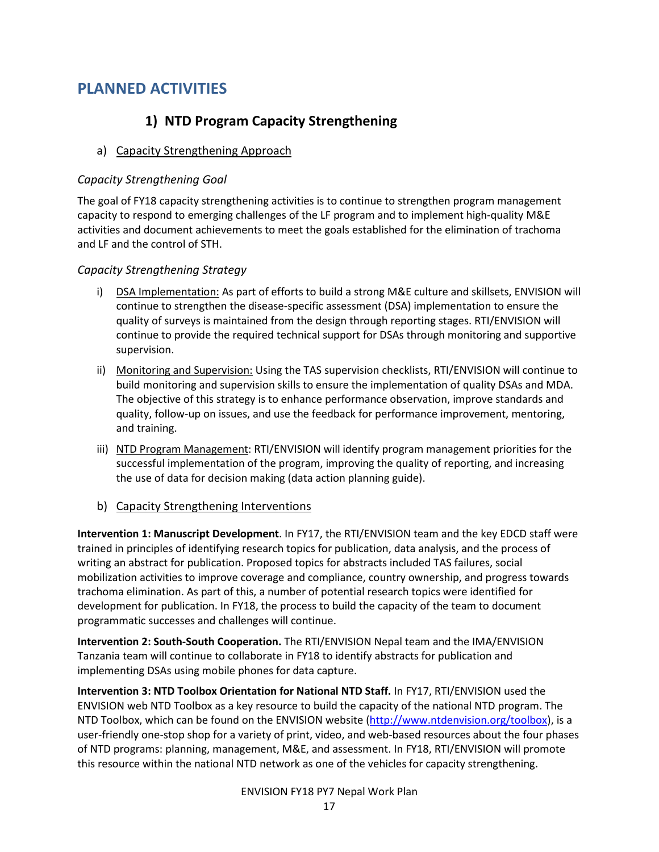# PLANNED ACTIVITIES

# 1) NTD Program Capacity Strengthening

# a) Capacity Strengthening Approach

# Capacity Strengthening Goal

The goal of FY18 capacity strengthening activities is to continue to strengthen program management capacity to respond to emerging challenges of the LF program and to implement high-quality M&E activities and document achievements to meet the goals established for the elimination of trachoma and LF and the control of STH.

# Capacity Strengthening Strategy

- i) DSA Implementation: As part of efforts to build a strong M&E culture and skillsets, ENVISION will continue to strengthen the disease-specific assessment (DSA) implementation to ensure the quality of surveys is maintained from the design through reporting stages. RTI/ENVISION will continue to provide the required technical support for DSAs through monitoring and supportive supervision.
- ii) Monitoring and Supervision: Using the TAS supervision checklists, RTI/ENVISION will continue to build monitoring and supervision skills to ensure the implementation of quality DSAs and MDA. The objective of this strategy is to enhance performance observation, improve standards and quality, follow-up on issues, and use the feedback for performance improvement, mentoring, and training.
- iii) NTD Program Management: RTI/ENVISION will identify program management priorities for the successful implementation of the program, improving the quality of reporting, and increasing the use of data for decision making (data action planning guide).
- b) Capacity Strengthening Interventions

Intervention 1: Manuscript Development. In FY17, the RTI/ENVISION team and the key EDCD staff were trained in principles of identifying research topics for publication, data analysis, and the process of writing an abstract for publication. Proposed topics for abstracts included TAS failures, social mobilization activities to improve coverage and compliance, country ownership, and progress towards trachoma elimination. As part of this, a number of potential research topics were identified for development for publication. In FY18, the process to build the capacity of the team to document programmatic successes and challenges will continue.

Intervention 2: South-South Cooperation. The RTI/ENVISION Nepal team and the IMA/ENVISION Tanzania team will continue to collaborate in FY18 to identify abstracts for publication and implementing DSAs using mobile phones for data capture.

Intervention 3: NTD Toolbox Orientation for National NTD Staff. In FY17, RTI/ENVISION used the ENVISION web NTD Toolbox as a key resource to build the capacity of the national NTD program. The NTD Toolbox, which can be found on the ENVISION website (http://www.ntdenvision.org/toolbox), is a user-friendly one-stop shop for a variety of print, video, and web-based resources about the four phases of NTD programs: planning, management, M&E, and assessment. In FY18, RTI/ENVISION will promote this resource within the national NTD network as one of the vehicles for capacity strengthening.

#### ENVISION FY18 PY7 Nepal Work Plan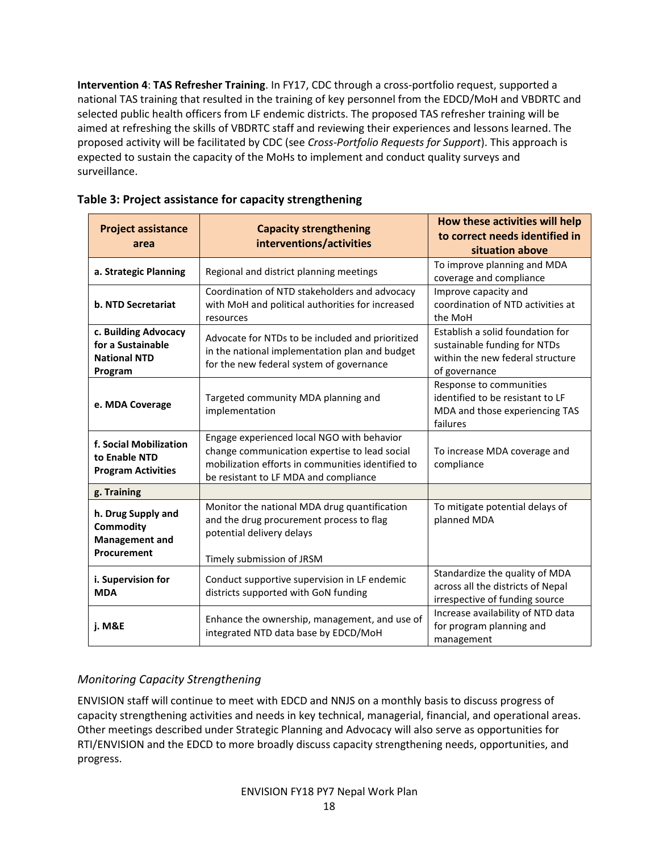Intervention 4: TAS Refresher Training. In FY17, CDC through a cross-portfolio request, supported a national TAS training that resulted in the training of key personnel from the EDCD/MoH and VBDRTC and selected public health officers from LF endemic districts. The proposed TAS refresher training will be aimed at refreshing the skills of VBDRTC staff and reviewing their experiences and lessons learned. The proposed activity will be facilitated by CDC (see Cross-Portfolio Requests for Support). This approach is expected to sustain the capacity of the MoHs to implement and conduct quality surveys and surveillance.

| <b>Project assistance</b><br>area                                              | <b>Capacity strengthening</b><br>interventions/activities                                                                                                                                 | How these activities will help<br>to correct needs identified in<br>situation above                       |  |
|--------------------------------------------------------------------------------|-------------------------------------------------------------------------------------------------------------------------------------------------------------------------------------------|-----------------------------------------------------------------------------------------------------------|--|
| a. Strategic Planning                                                          | Regional and district planning meetings                                                                                                                                                   | To improve planning and MDA<br>coverage and compliance                                                    |  |
| <b>b. NTD Secretariat</b>                                                      | Coordination of NTD stakeholders and advocacy<br>with MoH and political authorities for increased<br>resources                                                                            |                                                                                                           |  |
| c. Building Advocacy<br>for a Sustainable<br><b>National NTD</b><br>Program    | Establish a solid foundation for<br>sustainable funding for NTDs<br>within the new federal structure<br>of governance                                                                     |                                                                                                           |  |
| e. MDA Coverage                                                                | Targeted community MDA planning and<br>implementation                                                                                                                                     | Response to communities<br>identified to be resistant to LF<br>MDA and those experiencing TAS<br>failures |  |
| f. Social Mobilization<br>to Enable NTD<br><b>Program Activities</b>           | Engage experienced local NGO with behavior<br>change communication expertise to lead social<br>mobilization efforts in communities identified to<br>be resistant to LF MDA and compliance | To increase MDA coverage and<br>compliance                                                                |  |
| g. Training                                                                    |                                                                                                                                                                                           |                                                                                                           |  |
| h. Drug Supply and<br><b>Commodity</b><br><b>Management and</b><br>Procurement | Monitor the national MDA drug quantification<br>and the drug procurement process to flag<br>potential delivery delays                                                                     | To mitigate potential delays of<br>planned MDA                                                            |  |
| i. Supervision for<br><b>MDA</b>                                               | Timely submission of JRSM<br>Conduct supportive supervision in LF endemic<br>districts supported with GoN funding                                                                         | Standardize the quality of MDA<br>across all the districts of Nepal<br>irrespective of funding source     |  |
| j. M&E                                                                         | Increase availability of NTD data<br>for program planning and<br>management                                                                                                               |                                                                                                           |  |

### Table 3: Project assistance for capacity strengthening

# Monitoring Capacity Strengthening

ENVISION staff will continue to meet with EDCD and NNJS on a monthly basis to discuss progress of capacity strengthening activities and needs in key technical, managerial, financial, and operational areas. Other meetings described under Strategic Planning and Advocacy will also serve as opportunities for RTI/ENVISION and the EDCD to more broadly discuss capacity strengthening needs, opportunities, and progress.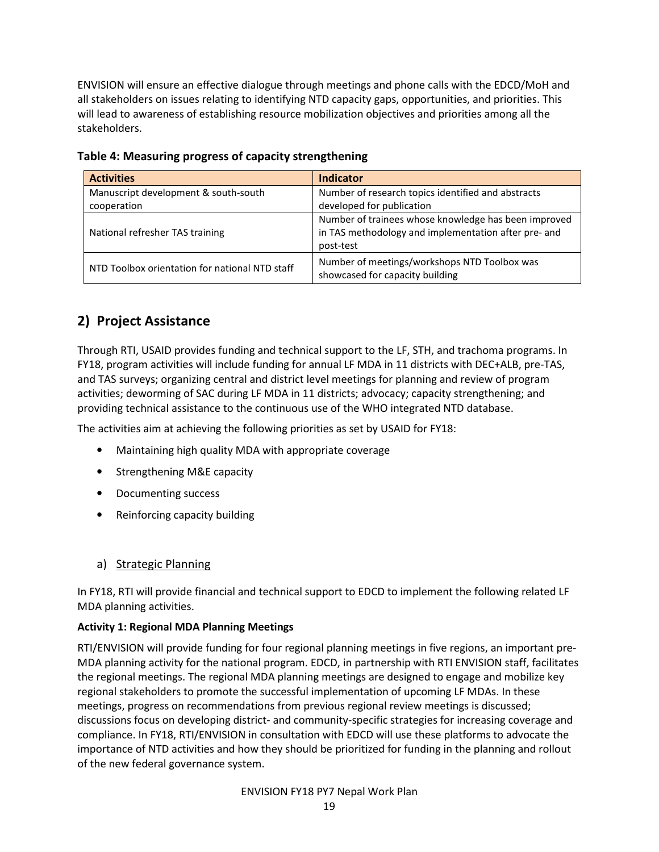ENVISION will ensure an effective dialogue through meetings and phone calls with the EDCD/MoH and all stakeholders on issues relating to identifying NTD capacity gaps, opportunities, and priorities. This will lead to awareness of establishing resource mobilization objectives and priorities among all the stakeholders.

| <b>Activities</b>                                   | <b>Indicator</b>                                                                                                          |
|-----------------------------------------------------|---------------------------------------------------------------------------------------------------------------------------|
| Manuscript development & south-south<br>cooperation | Number of research topics identified and abstracts<br>developed for publication                                           |
| National refresher TAS training                     | Number of trainees whose knowledge has been improved<br>in TAS methodology and implementation after pre- and<br>post-test |
| NTD Toolbox orientation for national NTD staff      | Number of meetings/workshops NTD Toolbox was<br>showcased for capacity building                                           |

Table 4: Measuring progress of capacity strengthening

# 2) Project Assistance

Through RTI, USAID provides funding and technical support to the LF, STH, and trachoma programs. In FY18, program activities will include funding for annual LF MDA in 11 districts with DEC+ALB, pre-TAS, and TAS surveys; organizing central and district level meetings for planning and review of program activities; deworming of SAC during LF MDA in 11 districts; advocacy; capacity strengthening; and providing technical assistance to the continuous use of the WHO integrated NTD database.

The activities aim at achieving the following priorities as set by USAID for FY18:

- Maintaining high quality MDA with appropriate coverage
- Strengthening M&E capacity
- Documenting success
- Reinforcing capacity building

#### a) Strategic Planning

In FY18, RTI will provide financial and technical support to EDCD to implement the following related LF MDA planning activities.

#### Activity 1: Regional MDA Planning Meetings

RTI/ENVISION will provide funding for four regional planning meetings in five regions, an important pre-MDA planning activity for the national program. EDCD, in partnership with RTI ENVISION staff, facilitates the regional meetings. The regional MDA planning meetings are designed to engage and mobilize key regional stakeholders to promote the successful implementation of upcoming LF MDAs. In these meetings, progress on recommendations from previous regional review meetings is discussed; discussions focus on developing district- and community-specific strategies for increasing coverage and compliance. In FY18, RTI/ENVISION in consultation with EDCD will use these platforms to advocate the importance of NTD activities and how they should be prioritized for funding in the planning and rollout of the new federal governance system.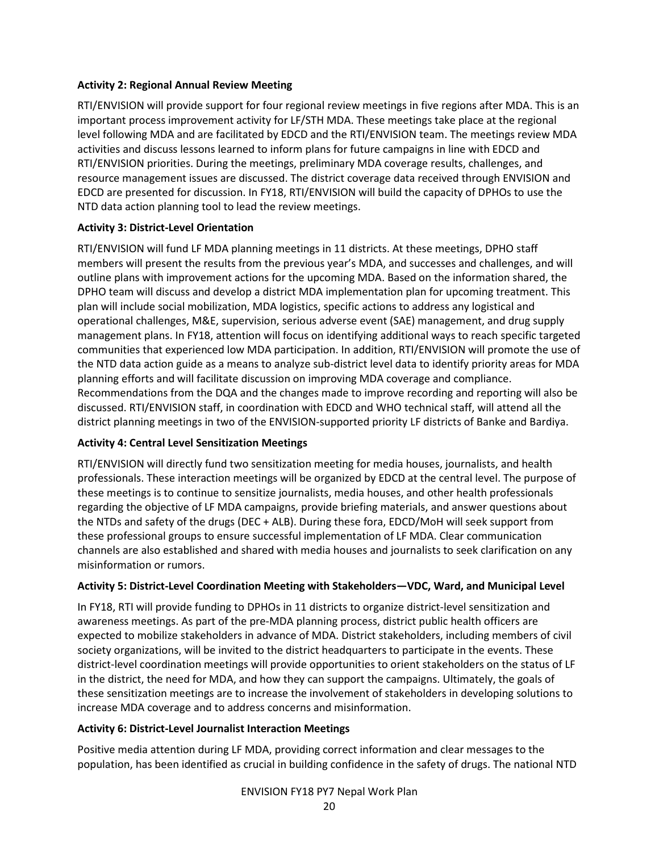#### Activity 2: Regional Annual Review Meeting

RTI/ENVISION will provide support for four regional review meetings in five regions after MDA. This is an important process improvement activity for LF/STH MDA. These meetings take place at the regional level following MDA and are facilitated by EDCD and the RTI/ENVISION team. The meetings review MDA activities and discuss lessons learned to inform plans for future campaigns in line with EDCD and RTI/ENVISION priorities. During the meetings, preliminary MDA coverage results, challenges, and resource management issues are discussed. The district coverage data received through ENVISION and EDCD are presented for discussion. In FY18, RTI/ENVISION will build the capacity of DPHOs to use the NTD data action planning tool to lead the review meetings.

#### Activity 3: District-Level Orientation

RTI/ENVISION will fund LF MDA planning meetings in 11 districts. At these meetings, DPHO staff members will present the results from the previous year's MDA, and successes and challenges, and will outline plans with improvement actions for the upcoming MDA. Based on the information shared, the DPHO team will discuss and develop a district MDA implementation plan for upcoming treatment. This plan will include social mobilization, MDA logistics, specific actions to address any logistical and operational challenges, M&E, supervision, serious adverse event (SAE) management, and drug supply management plans. In FY18, attention will focus on identifying additional ways to reach specific targeted communities that experienced low MDA participation. In addition, RTI/ENVISION will promote the use of the NTD data action guide as a means to analyze sub-district level data to identify priority areas for MDA planning efforts and will facilitate discussion on improving MDA coverage and compliance. Recommendations from the DQA and the changes made to improve recording and reporting will also be discussed. RTI/ENVISION staff, in coordination with EDCD and WHO technical staff, will attend all the district planning meetings in two of the ENVISION-supported priority LF districts of Banke and Bardiya.

#### Activity 4: Central Level Sensitization Meetings

RTI/ENVISION will directly fund two sensitization meeting for media houses, journalists, and health professionals. These interaction meetings will be organized by EDCD at the central level. The purpose of these meetings is to continue to sensitize journalists, media houses, and other health professionals regarding the objective of LF MDA campaigns, provide briefing materials, and answer questions about the NTDs and safety of the drugs (DEC + ALB). During these fora, EDCD/MoH will seek support from these professional groups to ensure successful implementation of LF MDA. Clear communication channels are also established and shared with media houses and journalists to seek clarification on any misinformation or rumors.

#### Activity 5: District-Level Coordination Meeting with Stakeholders—VDC, Ward, and Municipal Level

In FY18, RTI will provide funding to DPHOs in 11 districts to organize district-level sensitization and awareness meetings. As part of the pre-MDA planning process, district public health officers are expected to mobilize stakeholders in advance of MDA. District stakeholders, including members of civil society organizations, will be invited to the district headquarters to participate in the events. These district-level coordination meetings will provide opportunities to orient stakeholders on the status of LF in the district, the need for MDA, and how they can support the campaigns. Ultimately, the goals of these sensitization meetings are to increase the involvement of stakeholders in developing solutions to increase MDA coverage and to address concerns and misinformation.

#### Activity 6: District-Level Journalist Interaction Meetings

Positive media attention during LF MDA, providing correct information and clear messages to the population, has been identified as crucial in building confidence in the safety of drugs. The national NTD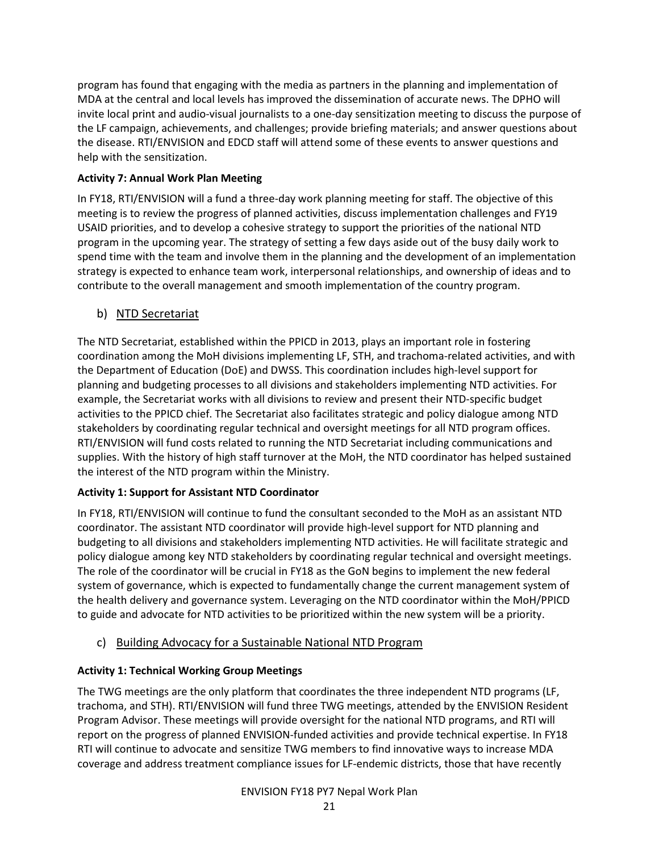program has found that engaging with the media as partners in the planning and implementation of MDA at the central and local levels has improved the dissemination of accurate news. The DPHO will invite local print and audio-visual journalists to a one-day sensitization meeting to discuss the purpose of the LF campaign, achievements, and challenges; provide briefing materials; and answer questions about the disease. RTI/ENVISION and EDCD staff will attend some of these events to answer questions and help with the sensitization.

# Activity 7: Annual Work Plan Meeting

In FY18, RTI/ENVISION will a fund a three-day work planning meeting for staff. The objective of this meeting is to review the progress of planned activities, discuss implementation challenges and FY19 USAID priorities, and to develop a cohesive strategy to support the priorities of the national NTD program in the upcoming year. The strategy of setting a few days aside out of the busy daily work to spend time with the team and involve them in the planning and the development of an implementation strategy is expected to enhance team work, interpersonal relationships, and ownership of ideas and to contribute to the overall management and smooth implementation of the country program.

# b) NTD Secretariat

The NTD Secretariat, established within the PPICD in 2013, plays an important role in fostering coordination among the MoH divisions implementing LF, STH, and trachoma-related activities, and with the Department of Education (DoE) and DWSS. This coordination includes high-level support for planning and budgeting processes to all divisions and stakeholders implementing NTD activities. For example, the Secretariat works with all divisions to review and present their NTD-specific budget activities to the PPICD chief. The Secretariat also facilitates strategic and policy dialogue among NTD stakeholders by coordinating regular technical and oversight meetings for all NTD program offices. RTI/ENVISION will fund costs related to running the NTD Secretariat including communications and supplies. With the history of high staff turnover at the MoH, the NTD coordinator has helped sustained the interest of the NTD program within the Ministry.

# Activity 1: Support for Assistant NTD Coordinator

In FY18, RTI/ENVISION will continue to fund the consultant seconded to the MoH as an assistant NTD coordinator. The assistant NTD coordinator will provide high-level support for NTD planning and budgeting to all divisions and stakeholders implementing NTD activities. He will facilitate strategic and policy dialogue among key NTD stakeholders by coordinating regular technical and oversight meetings. The role of the coordinator will be crucial in FY18 as the GoN begins to implement the new federal system of governance, which is expected to fundamentally change the current management system of the health delivery and governance system. Leveraging on the NTD coordinator within the MoH/PPICD to guide and advocate for NTD activities to be prioritized within the new system will be a priority.

# c) Building Advocacy for a Sustainable National NTD Program

# Activity 1: Technical Working Group Meetings

The TWG meetings are the only platform that coordinates the three independent NTD programs (LF, trachoma, and STH). RTI/ENVISION will fund three TWG meetings, attended by the ENVISION Resident Program Advisor. These meetings will provide oversight for the national NTD programs, and RTI will report on the progress of planned ENVISION-funded activities and provide technical expertise. In FY18 RTI will continue to advocate and sensitize TWG members to find innovative ways to increase MDA coverage and address treatment compliance issues for LF-endemic districts, those that have recently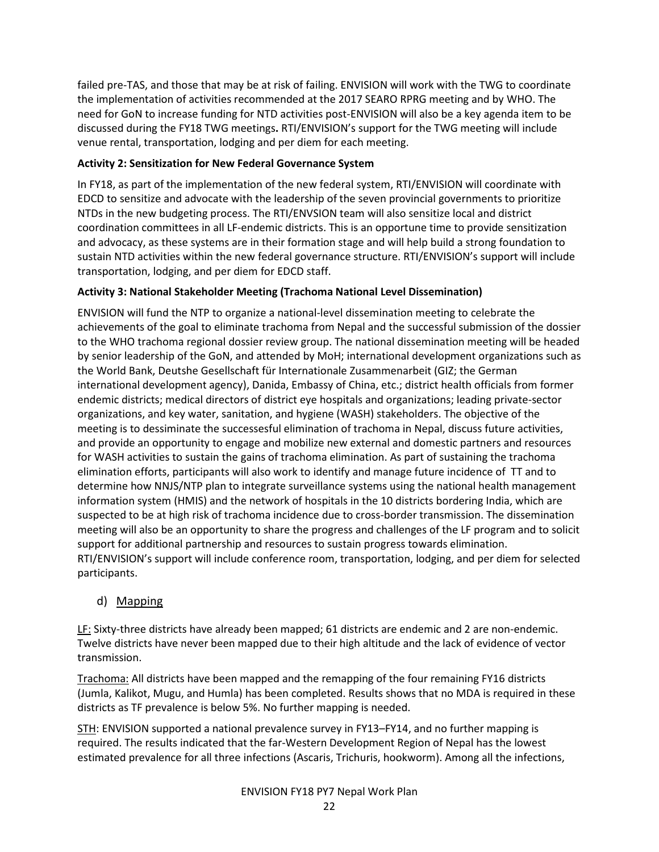failed pre-TAS, and those that may be at risk of failing. ENVISION will work with the TWG to coordinate the implementation of activities recommended at the 2017 SEARO RPRG meeting and by WHO. The need for GoN to increase funding for NTD activities post-ENVISION will also be a key agenda item to be discussed during the FY18 TWG meetings. RTI/ENVISION's support for the TWG meeting will include venue rental, transportation, lodging and per diem for each meeting.

#### Activity 2: Sensitization for New Federal Governance System

In FY18, as part of the implementation of the new federal system, RTI/ENVISION will coordinate with EDCD to sensitize and advocate with the leadership of the seven provincial governments to prioritize NTDs in the new budgeting process. The RTI/ENVSION team will also sensitize local and district coordination committees in all LF-endemic districts. This is an opportune time to provide sensitization and advocacy, as these systems are in their formation stage and will help build a strong foundation to sustain NTD activities within the new federal governance structure. RTI/ENVISION's support will include transportation, lodging, and per diem for EDCD staff.

# Activity 3: National Stakeholder Meeting (Trachoma National Level Dissemination)

ENVISION will fund the NTP to organize a national-level dissemination meeting to celebrate the achievements of the goal to eliminate trachoma from Nepal and the successful submission of the dossier to the WHO trachoma regional dossier review group. The national dissemination meeting will be headed by senior leadership of the GoN, and attended by MoH; international development organizations such as the World Bank, Deutshe Gesellschaft für Internationale Zusammenarbeit (GIZ; the German international development agency), Danida, Embassy of China, etc.; district health officials from former endemic districts; medical directors of district eye hospitals and organizations; leading private-sector organizations, and key water, sanitation, and hygiene (WASH) stakeholders. The objective of the meeting is to dessiminate the successesful elimination of trachoma in Nepal, discuss future activities, and provide an opportunity to engage and mobilize new external and domestic partners and resources for WASH activities to sustain the gains of trachoma elimination. As part of sustaining the trachoma elimination efforts, participants will also work to identify and manage future incidence of TT and to determine how NNJS/NTP plan to integrate surveillance systems using the national health management information system (HMIS) and the network of hospitals in the 10 districts bordering India, which are suspected to be at high risk of trachoma incidence due to cross-border transmission. The dissemination meeting will also be an opportunity to share the progress and challenges of the LF program and to solicit support for additional partnership and resources to sustain progress towards elimination. RTI/ENVISION's support will include conference room, transportation, lodging, and per diem for selected participants.

# d) Mapping

LF: Sixty-three districts have already been mapped; 61 districts are endemic and 2 are non-endemic. Twelve districts have never been mapped due to their high altitude and the lack of evidence of vector transmission.

Trachoma: All districts have been mapped and the remapping of the four remaining FY16 districts (Jumla, Kalikot, Mugu, and Humla) has been completed. Results shows that no MDA is required in these districts as TF prevalence is below 5%. No further mapping is needed.

STH: ENVISION supported a national prevalence survey in FY13–FY14, and no further mapping is required. The results indicated that the far-Western Development Region of Nepal has the lowest estimated prevalence for all three infections (Ascaris, Trichuris, hookworm). Among all the infections,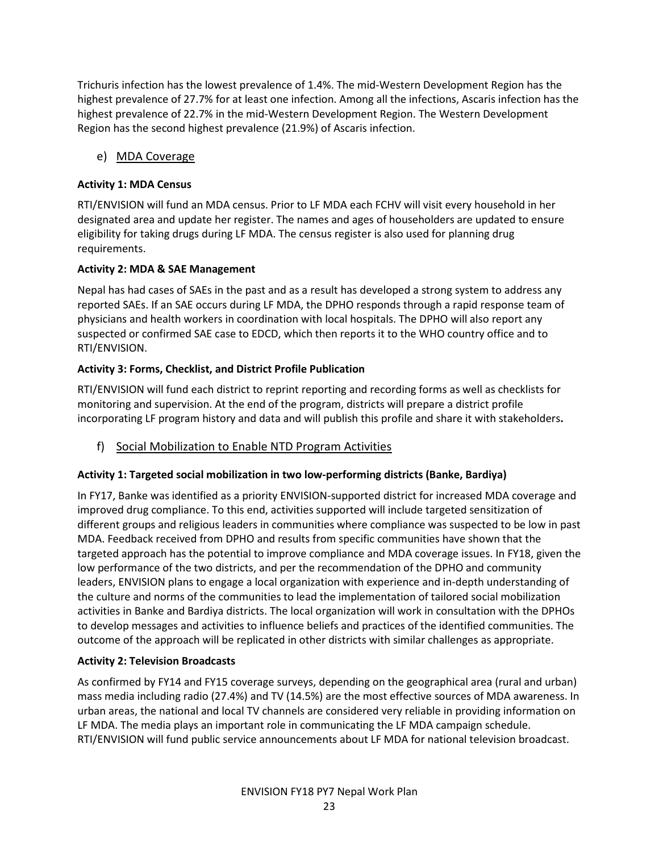Trichuris infection has the lowest prevalence of 1.4%. The mid-Western Development Region has the highest prevalence of 27.7% for at least one infection. Among all the infections, Ascaris infection has the highest prevalence of 22.7% in the mid-Western Development Region. The Western Development Region has the second highest prevalence (21.9%) of Ascaris infection.

# e) MDA Coverage

### Activity 1: MDA Census

RTI/ENVISION will fund an MDA census. Prior to LF MDA each FCHV will visit every household in her designated area and update her register. The names and ages of householders are updated to ensure eligibility for taking drugs during LF MDA. The census register is also used for planning drug requirements.

#### Activity 2: MDA & SAE Management

Nepal has had cases of SAEs in the past and as a result has developed a strong system to address any reported SAEs. If an SAE occurs during LF MDA, the DPHO responds through a rapid response team of physicians and health workers in coordination with local hospitals. The DPHO will also report any suspected or confirmed SAE case to EDCD, which then reports it to the WHO country office and to RTI/ENVISION.

# Activity 3: Forms, Checklist, and District Profile Publication

RTI/ENVISION will fund each district to reprint reporting and recording forms as well as checklists for monitoring and supervision. At the end of the program, districts will prepare a district profile incorporating LF program history and data and will publish this profile and share it with stakeholders.

# f) Social Mobilization to Enable NTD Program Activities

# Activity 1: Targeted social mobilization in two low-performing districts (Banke, Bardiya)

In FY17, Banke was identified as a priority ENVISION-supported district for increased MDA coverage and improved drug compliance. To this end, activities supported will include targeted sensitization of different groups and religious leaders in communities where compliance was suspected to be low in past MDA. Feedback received from DPHO and results from specific communities have shown that the targeted approach has the potential to improve compliance and MDA coverage issues. In FY18, given the low performance of the two districts, and per the recommendation of the DPHO and community leaders, ENVISION plans to engage a local organization with experience and in-depth understanding of the culture and norms of the communities to lead the implementation of tailored social mobilization activities in Banke and Bardiya districts. The local organization will work in consultation with the DPHOs to develop messages and activities to influence beliefs and practices of the identified communities. The outcome of the approach will be replicated in other districts with similar challenges as appropriate.

#### Activity 2: Television Broadcasts

As confirmed by FY14 and FY15 coverage surveys, depending on the geographical area (rural and urban) mass media including radio (27.4%) and TV (14.5%) are the most effective sources of MDA awareness. In urban areas, the national and local TV channels are considered very reliable in providing information on LF MDA. The media plays an important role in communicating the LF MDA campaign schedule. RTI/ENVISION will fund public service announcements about LF MDA for national television broadcast.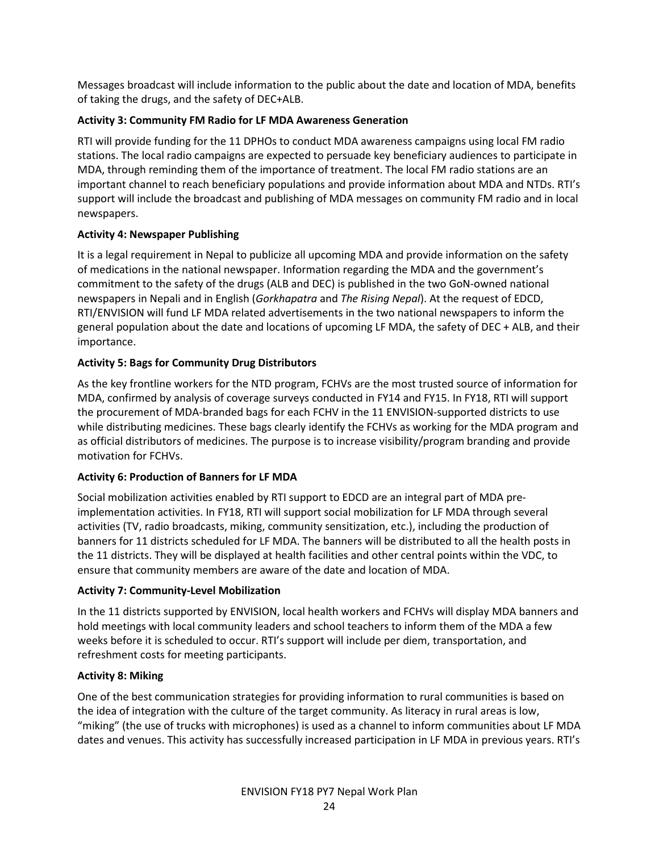Messages broadcast will include information to the public about the date and location of MDA, benefits of taking the drugs, and the safety of DEC+ALB.

#### Activity 3: Community FM Radio for LF MDA Awareness Generation

RTI will provide funding for the 11 DPHOs to conduct MDA awareness campaigns using local FM radio stations. The local radio campaigns are expected to persuade key beneficiary audiences to participate in MDA, through reminding them of the importance of treatment. The local FM radio stations are an important channel to reach beneficiary populations and provide information about MDA and NTDs. RTI's support will include the broadcast and publishing of MDA messages on community FM radio and in local newspapers.

#### Activity 4: Newspaper Publishing

It is a legal requirement in Nepal to publicize all upcoming MDA and provide information on the safety of medications in the national newspaper. Information regarding the MDA and the government's commitment to the safety of the drugs (ALB and DEC) is published in the two GoN-owned national newspapers in Nepali and in English (Gorkhapatra and The Rising Nepal). At the request of EDCD, RTI/ENVISION will fund LF MDA related advertisements in the two national newspapers to inform the general population about the date and locations of upcoming LF MDA, the safety of DEC + ALB, and their importance.

#### Activity 5: Bags for Community Drug Distributors

As the key frontline workers for the NTD program, FCHVs are the most trusted source of information for MDA, confirmed by analysis of coverage surveys conducted in FY14 and FY15. In FY18, RTI will support the procurement of MDA-branded bags for each FCHV in the 11 ENVISION-supported districts to use while distributing medicines. These bags clearly identify the FCHVs as working for the MDA program and as official distributors of medicines. The purpose is to increase visibility/program branding and provide motivation for FCHVs.

# Activity 6: Production of Banners for LF MDA

Social mobilization activities enabled by RTI support to EDCD are an integral part of MDA preimplementation activities. In FY18, RTI will support social mobilization for LF MDA through several activities (TV, radio broadcasts, miking, community sensitization, etc.), including the production of banners for 11 districts scheduled for LF MDA. The banners will be distributed to all the health posts in the 11 districts. They will be displayed at health facilities and other central points within the VDC, to ensure that community members are aware of the date and location of MDA.

#### Activity 7: Community-Level Mobilization

In the 11 districts supported by ENVISION, local health workers and FCHVs will display MDA banners and hold meetings with local community leaders and school teachers to inform them of the MDA a few weeks before it is scheduled to occur. RTI's support will include per diem, transportation, and refreshment costs for meeting participants.

#### Activity 8: Miking

One of the best communication strategies for providing information to rural communities is based on the idea of integration with the culture of the target community. As literacy in rural areas is low, "miking" (the use of trucks with microphones) is used as a channel to inform communities about LF MDA dates and venues. This activity has successfully increased participation in LF MDA in previous years. RTI's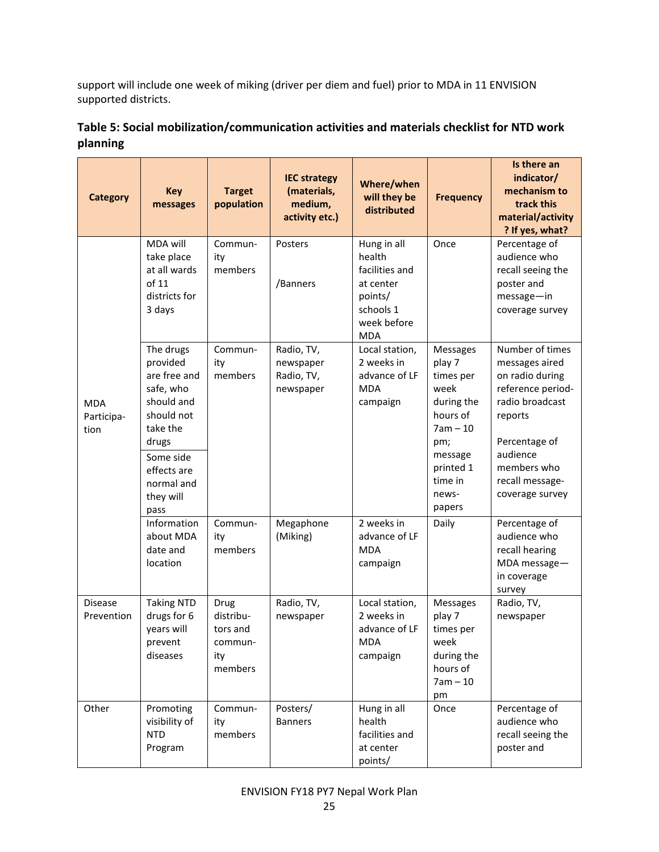support will include one week of miking (driver per diem and fuel) prior to MDA in 11 ENVISION supported districts.

| <b>Category</b>                  | <b>Key</b><br>messages                                                                                                                                             | <b>Target</b><br>population                                | <b>IEC strategy</b><br>(materials,<br>medium,<br>activity etc.) | Where/when<br>will they be<br>distributed                                                                 | <b>Frequency</b>                                                                                                                                    | Is there an<br>indicator/<br>mechanism to<br>track this<br>material/activity<br>? If yes, what?                                                                                           |
|----------------------------------|--------------------------------------------------------------------------------------------------------------------------------------------------------------------|------------------------------------------------------------|-----------------------------------------------------------------|-----------------------------------------------------------------------------------------------------------|-----------------------------------------------------------------------------------------------------------------------------------------------------|-------------------------------------------------------------------------------------------------------------------------------------------------------------------------------------------|
|                                  | MDA will<br>take place<br>at all wards<br>of 11<br>districts for<br>3 days                                                                                         | Commun-<br>ity<br>members                                  | Posters<br>/Banners                                             | Hung in all<br>health<br>facilities and<br>at center<br>points/<br>schools 1<br>week before<br><b>MDA</b> | Once                                                                                                                                                | Percentage of<br>audience who<br>recall seeing the<br>poster and<br>message-in<br>coverage survey                                                                                         |
| <b>MDA</b><br>Participa-<br>tion | The drugs<br>provided<br>are free and<br>safe, who<br>should and<br>should not<br>take the<br>drugs<br>Some side<br>effects are<br>normal and<br>they will<br>pass | Commun-<br>ity<br>members                                  | Radio, TV,<br>newspaper<br>Radio, TV,<br>newspaper              | Local station,<br>2 weeks in<br>advance of LF<br><b>MDA</b><br>campaign                                   | <b>Messages</b><br>play 7<br>times per<br>week<br>during the<br>hours of<br>$7am - 10$<br>pm;<br>message<br>printed 1<br>time in<br>news-<br>papers | Number of times<br>messages aired<br>on radio during<br>reference period-<br>radio broadcast<br>reports<br>Percentage of<br>audience<br>members who<br>recall message-<br>coverage survey |
|                                  | Information<br>about MDA<br>date and<br>location                                                                                                                   | Commun-<br>ity<br>members                                  | Megaphone<br>(Miking)                                           | 2 weeks in<br>advance of LF<br><b>MDA</b><br>campaign                                                     | Daily                                                                                                                                               | Percentage of<br>audience who<br>recall hearing<br>MDA message-<br>in coverage<br>survey                                                                                                  |
| <b>Disease</b><br>Prevention     | <b>Taking NTD</b><br>drugs for 6<br>years will<br>prevent<br>diseases                                                                                              | Drug<br>distribu-<br>tors and<br>commun-<br>ity<br>members | Radio, TV,<br>newspaper                                         | Local station,<br>2 weeks in<br>advance of LF<br>MDA<br>campaign                                          | <b>Messages</b><br>play 7<br>times per<br>week<br>during the<br>hours of<br>$7am - 10$<br>pm                                                        | Radio, TV,<br>newspaper                                                                                                                                                                   |
| Other                            | Promoting<br>visibility of<br><b>NTD</b><br>Program                                                                                                                | Commun-<br>ity<br>members                                  | Posters/<br><b>Banners</b>                                      | Hung in all<br>health<br>facilities and<br>at center<br>points/                                           | Once                                                                                                                                                | Percentage of<br>audience who<br>recall seeing the<br>poster and                                                                                                                          |

# Table 5: Social mobilization/communication activities and materials checklist for NTD work planning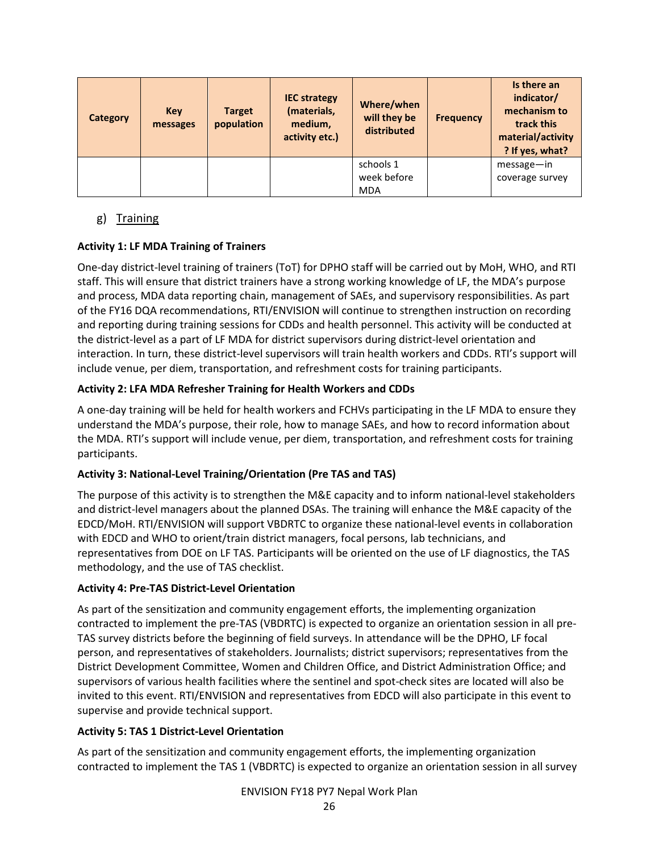| <b>Category</b> | Key<br>messages | <b>Target</b><br>population | <b>IEC strategy</b><br>(materials,<br>medium,<br>activity etc.) | Where/when<br>will they be<br>distributed | <b>Frequency</b> | Is there an<br>indicator/<br>mechanism to<br>track this<br>material/activity<br>? If yes, what? |
|-----------------|-----------------|-----------------------------|-----------------------------------------------------------------|-------------------------------------------|------------------|-------------------------------------------------------------------------------------------------|
|                 |                 |                             |                                                                 | schools 1<br>week before                  |                  | $message - in$<br>coverage survey                                                               |
|                 |                 |                             |                                                                 | <b>MDA</b>                                |                  |                                                                                                 |

# g) Training

#### Activity 1: LF MDA Training of Trainers

One-day district-level training of trainers (ToT) for DPHO staff will be carried out by MoH, WHO, and RTI staff. This will ensure that district trainers have a strong working knowledge of LF, the MDA's purpose and process, MDA data reporting chain, management of SAEs, and supervisory responsibilities. As part of the FY16 DQA recommendations, RTI/ENVISION will continue to strengthen instruction on recording and reporting during training sessions for CDDs and health personnel. This activity will be conducted at the district-level as a part of LF MDA for district supervisors during district-level orientation and interaction. In turn, these district-level supervisors will train health workers and CDDs. RTI's support will include venue, per diem, transportation, and refreshment costs for training participants.

#### Activity 2: LFA MDA Refresher Training for Health Workers and CDDs

A one-day training will be held for health workers and FCHVs participating in the LF MDA to ensure they understand the MDA's purpose, their role, how to manage SAEs, and how to record information about the MDA. RTI's support will include venue, per diem, transportation, and refreshment costs for training participants.

#### Activity 3: National-Level Training/Orientation (Pre TAS and TAS)

The purpose of this activity is to strengthen the M&E capacity and to inform national-level stakeholders and district-level managers about the planned DSAs. The training will enhance the M&E capacity of the EDCD/MoH. RTI/ENVISION will support VBDRTC to organize these national-level events in collaboration with EDCD and WHO to orient/train district managers, focal persons, lab technicians, and representatives from DOE on LF TAS. Participants will be oriented on the use of LF diagnostics, the TAS methodology, and the use of TAS checklist.

#### Activity 4: Pre-TAS District-Level Orientation

As part of the sensitization and community engagement efforts, the implementing organization contracted to implement the pre-TAS (VBDRTC) is expected to organize an orientation session in all pre-TAS survey districts before the beginning of field surveys. In attendance will be the DPHO, LF focal person, and representatives of stakeholders. Journalists; district supervisors; representatives from the District Development Committee, Women and Children Office, and District Administration Office; and supervisors of various health facilities where the sentinel and spot-check sites are located will also be invited to this event. RTI/ENVISION and representatives from EDCD will also participate in this event to supervise and provide technical support.

# Activity 5: TAS 1 District-Level Orientation

As part of the sensitization and community engagement efforts, the implementing organization contracted to implement the TAS 1 (VBDRTC) is expected to organize an orientation session in all survey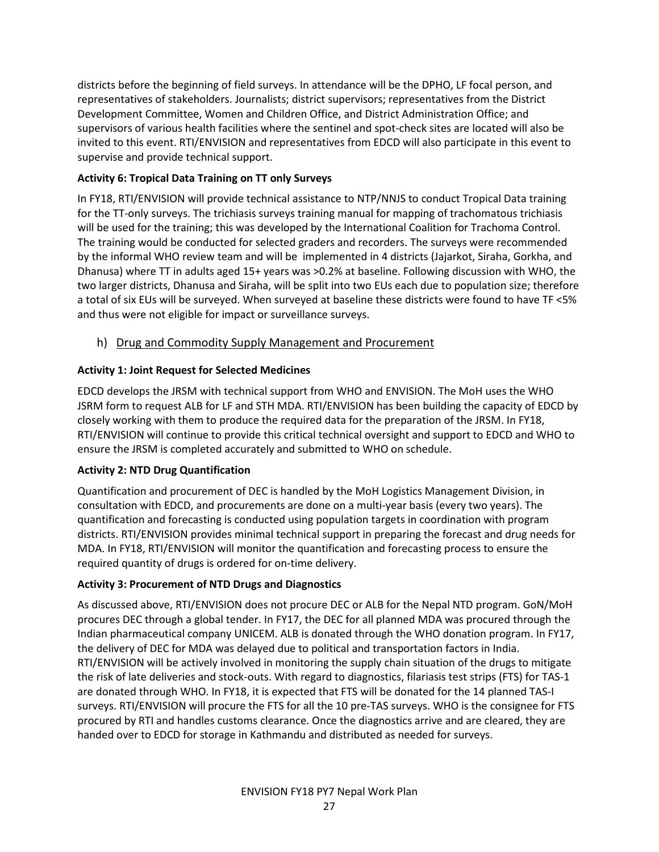districts before the beginning of field surveys. In attendance will be the DPHO, LF focal person, and representatives of stakeholders. Journalists; district supervisors; representatives from the District Development Committee, Women and Children Office, and District Administration Office; and supervisors of various health facilities where the sentinel and spot-check sites are located will also be invited to this event. RTI/ENVISION and representatives from EDCD will also participate in this event to supervise and provide technical support.

#### Activity 6: Tropical Data Training on TT only Surveys

In FY18, RTI/ENVISION will provide technical assistance to NTP/NNJS to conduct Tropical Data training for the TT-only surveys. The trichiasis surveys training manual for mapping of trachomatous trichiasis will be used for the training; this was developed by the International Coalition for Trachoma Control. The training would be conducted for selected graders and recorders. The surveys were recommended by the informal WHO review team and will be implemented in 4 districts (Jajarkot, Siraha, Gorkha, and Dhanusa) where TT in adults aged 15+ years was >0.2% at baseline. Following discussion with WHO, the two larger districts, Dhanusa and Siraha, will be split into two EUs each due to population size; therefore a total of six EUs will be surveyed. When surveyed at baseline these districts were found to have TF <5% and thus were not eligible for impact or surveillance surveys.

h) Drug and Commodity Supply Management and Procurement

#### Activity 1: Joint Request for Selected Medicines

EDCD develops the JRSM with technical support from WHO and ENVISION. The MoH uses the WHO JSRM form to request ALB for LF and STH MDA. RTI/ENVISION has been building the capacity of EDCD by closely working with them to produce the required data for the preparation of the JRSM. In FY18, RTI/ENVISION will continue to provide this critical technical oversight and support to EDCD and WHO to ensure the JRSM is completed accurately and submitted to WHO on schedule.

#### Activity 2: NTD Drug Quantification

Quantification and procurement of DEC is handled by the MoH Logistics Management Division, in consultation with EDCD, and procurements are done on a multi-year basis (every two years). The quantification and forecasting is conducted using population targets in coordination with program districts. RTI/ENVISION provides minimal technical support in preparing the forecast and drug needs for MDA. In FY18, RTI/ENVISION will monitor the quantification and forecasting process to ensure the required quantity of drugs is ordered for on-time delivery.

#### Activity 3: Procurement of NTD Drugs and Diagnostics

As discussed above, RTI/ENVISION does not procure DEC or ALB for the Nepal NTD program. GoN/MoH procures DEC through a global tender. In FY17, the DEC for all planned MDA was procured through the Indian pharmaceutical company UNICEM. ALB is donated through the WHO donation program. In FY17, the delivery of DEC for MDA was delayed due to political and transportation factors in India. RTI/ENVISION will be actively involved in monitoring the supply chain situation of the drugs to mitigate the risk of late deliveries and stock-outs. With regard to diagnostics, filariasis test strips (FTS) for TAS-1 are donated through WHO. In FY18, it is expected that FTS will be donated for the 14 planned TAS-I surveys. RTI/ENVISION will procure the FTS for all the 10 pre-TAS surveys. WHO is the consignee for FTS procured by RTI and handles customs clearance. Once the diagnostics arrive and are cleared, they are handed over to EDCD for storage in Kathmandu and distributed as needed for surveys.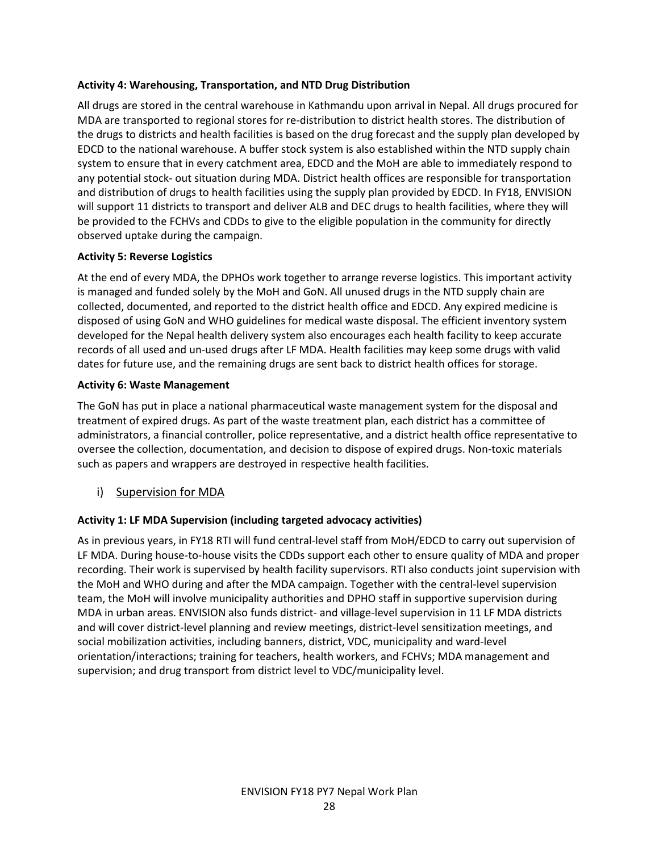#### Activity 4: Warehousing, Transportation, and NTD Drug Distribution

All drugs are stored in the central warehouse in Kathmandu upon arrival in Nepal. All drugs procured for MDA are transported to regional stores for re-distribution to district health stores. The distribution of the drugs to districts and health facilities is based on the drug forecast and the supply plan developed by EDCD to the national warehouse. A buffer stock system is also established within the NTD supply chain system to ensure that in every catchment area, EDCD and the MoH are able to immediately respond to any potential stock- out situation during MDA. District health offices are responsible for transportation and distribution of drugs to health facilities using the supply plan provided by EDCD. In FY18, ENVISION will support 11 districts to transport and deliver ALB and DEC drugs to health facilities, where they will be provided to the FCHVs and CDDs to give to the eligible population in the community for directly observed uptake during the campaign.

#### Activity 5: Reverse Logistics

At the end of every MDA, the DPHOs work together to arrange reverse logistics. This important activity is managed and funded solely by the MoH and GoN. All unused drugs in the NTD supply chain are collected, documented, and reported to the district health office and EDCD. Any expired medicine is disposed of using GoN and WHO guidelines for medical waste disposal. The efficient inventory system developed for the Nepal health delivery system also encourages each health facility to keep accurate records of all used and un-used drugs after LF MDA. Health facilities may keep some drugs with valid dates for future use, and the remaining drugs are sent back to district health offices for storage.

#### Activity 6: Waste Management

The GoN has put in place a national pharmaceutical waste management system for the disposal and treatment of expired drugs. As part of the waste treatment plan, each district has a committee of administrators, a financial controller, police representative, and a district health office representative to oversee the collection, documentation, and decision to dispose of expired drugs. Non-toxic materials such as papers and wrappers are destroyed in respective health facilities.

i) Supervision for MDA

#### Activity 1: LF MDA Supervision (including targeted advocacy activities)

As in previous years, in FY18 RTI will fund central-level staff from MoH/EDCD to carry out supervision of LF MDA. During house-to-house visits the CDDs support each other to ensure quality of MDA and proper recording. Their work is supervised by health facility supervisors. RTI also conducts joint supervision with the MoH and WHO during and after the MDA campaign. Together with the central-level supervision team, the MoH will involve municipality authorities and DPHO staff in supportive supervision during MDA in urban areas. ENVISION also funds district- and village-level supervision in 11 LF MDA districts and will cover district-level planning and review meetings, district-level sensitization meetings, and social mobilization activities, including banners, district, VDC, municipality and ward-level orientation/interactions; training for teachers, health workers, and FCHVs; MDA management and supervision; and drug transport from district level to VDC/municipality level.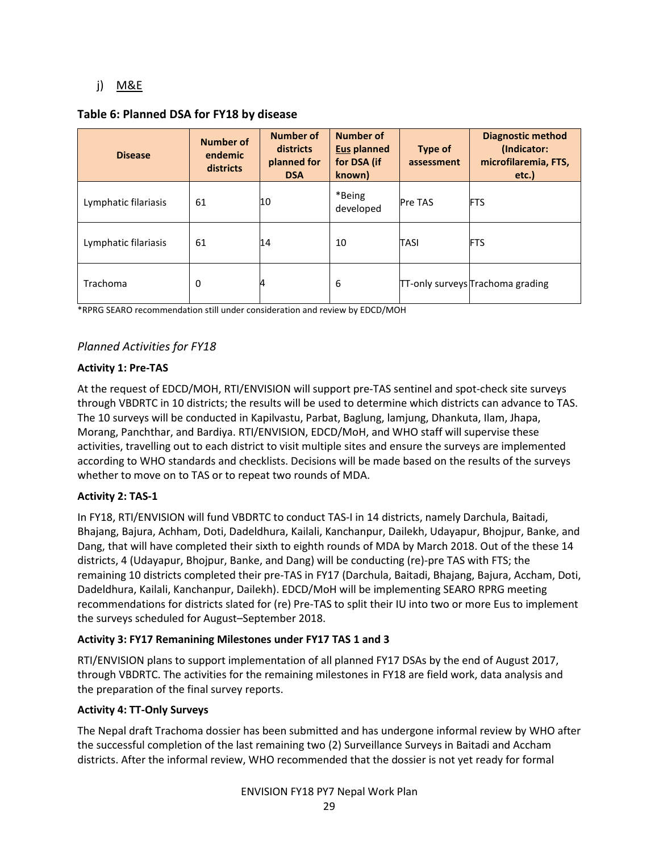# j) M&E

#### Table 6: Planned DSA for FY18 by disease

| <b>Disease</b>       | <b>Number of</b><br>endemic<br>districts | <b>Number of</b><br>districts<br>planned for<br><b>DSA</b> | <b>Number of</b><br><b>Eus planned</b><br>for DSA (if<br>known) | Type of<br>assessment | <b>Diagnostic method</b><br>(Indicator:<br>microfilaremia, FTS,<br>etc.) |
|----------------------|------------------------------------------|------------------------------------------------------------|-----------------------------------------------------------------|-----------------------|--------------------------------------------------------------------------|
| Lymphatic filariasis | 61                                       | 10                                                         | *Being<br>developed                                             | <b>Pre TAS</b>        | <b>FTS</b>                                                               |
| Lymphatic filariasis | 61                                       | 14                                                         | 10                                                              | <b>TASI</b>           | <b>FTS</b>                                                               |
| Trachoma             | 0                                        | 4                                                          | 6                                                               |                       | TT-only surveys Trachoma grading                                         |

\*RPRG SEARO recommendation still under consideration and review by EDCD/MOH

# Planned Activities for FY18

#### Activity 1: Pre-TAS

At the request of EDCD/MOH, RTI/ENVISION will support pre-TAS sentinel and spot-check site surveys through VBDRTC in 10 districts; the results will be used to determine which districts can advance to TAS. The 10 surveys will be conducted in Kapilvastu, Parbat, Baglung, lamjung, Dhankuta, Ilam, Jhapa, Morang, Panchthar, and Bardiya. RTI/ENVISION, EDCD/MoH, and WHO staff will supervise these activities, travelling out to each district to visit multiple sites and ensure the surveys are implemented according to WHO standards and checklists. Decisions will be made based on the results of the surveys whether to move on to TAS or to repeat two rounds of MDA.

#### Activity 2: TAS-1

In FY18, RTI/ENVISION will fund VBDRTC to conduct TAS-I in 14 districts, namely Darchula, Baitadi, Bhajang, Bajura, Achham, Doti, Dadeldhura, Kailali, Kanchanpur, Dailekh, Udayapur, Bhojpur, Banke, and Dang, that will have completed their sixth to eighth rounds of MDA by March 2018. Out of the these 14 districts, 4 (Udayapur, Bhojpur, Banke, and Dang) will be conducting (re)-pre TAS with FTS; the remaining 10 districts completed their pre-TAS in FY17 (Darchula, Baitadi, Bhajang, Bajura, Accham, Doti, Dadeldhura, Kailali, Kanchanpur, Dailekh). EDCD/MoH will be implementing SEARO RPRG meeting recommendations for districts slated for (re) Pre-TAS to split their IU into two or more Eus to implement the surveys scheduled for August–September 2018.

#### Activity 3: FY17 Remanining Milestones under FY17 TAS 1 and 3

RTI/ENVISION plans to support implementation of all planned FY17 DSAs by the end of August 2017, through VBDRTC. The activities for the remaining milestones in FY18 are field work, data analysis and the preparation of the final survey reports.

#### Activity 4: TT-Only Surveys

The Nepal draft Trachoma dossier has been submitted and has undergone informal review by WHO after the successful completion of the last remaining two (2) Surveillance Surveys in Baitadi and Accham districts. After the informal review, WHO recommended that the dossier is not yet ready for formal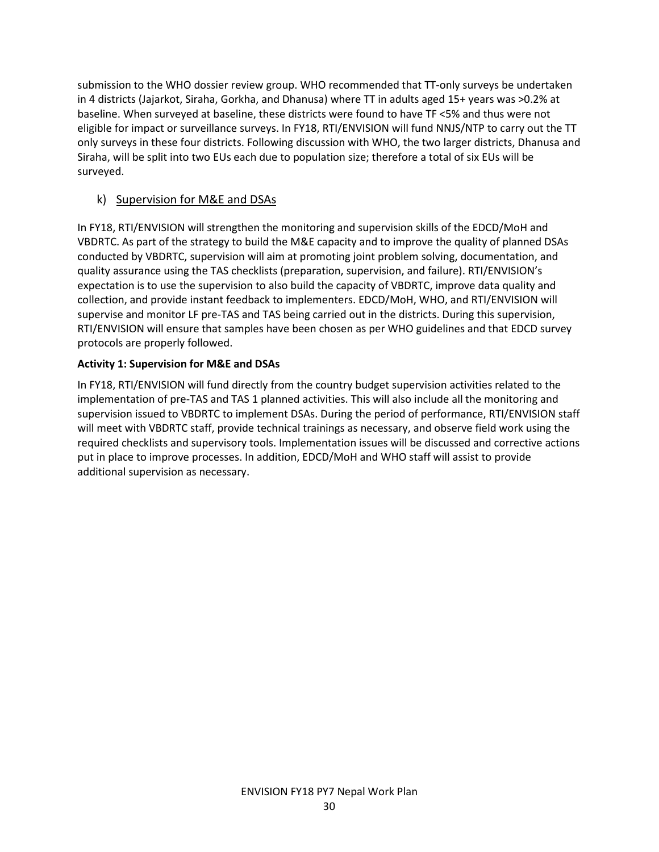submission to the WHO dossier review group. WHO recommended that TT-only surveys be undertaken in 4 districts (Jajarkot, Siraha, Gorkha, and Dhanusa) where TT in adults aged 15+ years was >0.2% at baseline. When surveyed at baseline, these districts were found to have TF <5% and thus were not eligible for impact or surveillance surveys. In FY18, RTI/ENVISION will fund NNJS/NTP to carry out the TT only surveys in these four districts. Following discussion with WHO, the two larger districts, Dhanusa and Siraha, will be split into two EUs each due to population size; therefore a total of six EUs will be surveyed.

# k) Supervision for M&E and DSAs

In FY18, RTI/ENVISION will strengthen the monitoring and supervision skills of the EDCD/MoH and VBDRTC. As part of the strategy to build the M&E capacity and to improve the quality of planned DSAs conducted by VBDRTC, supervision will aim at promoting joint problem solving, documentation, and quality assurance using the TAS checklists (preparation, supervision, and failure). RTI/ENVISION's expectation is to use the supervision to also build the capacity of VBDRTC, improve data quality and collection, and provide instant feedback to implementers. EDCD/MoH, WHO, and RTI/ENVISION will supervise and monitor LF pre-TAS and TAS being carried out in the districts. During this supervision, RTI/ENVISION will ensure that samples have been chosen as per WHO guidelines and that EDCD survey protocols are properly followed.

# Activity 1: Supervision for M&E and DSAs

In FY18, RTI/ENVISION will fund directly from the country budget supervision activities related to the implementation of pre-TAS and TAS 1 planned activities. This will also include all the monitoring and supervision issued to VBDRTC to implement DSAs. During the period of performance, RTI/ENVISION staff will meet with VBDRTC staff, provide technical trainings as necessary, and observe field work using the required checklists and supervisory tools. Implementation issues will be discussed and corrective actions put in place to improve processes. In addition, EDCD/MoH and WHO staff will assist to provide additional supervision as necessary.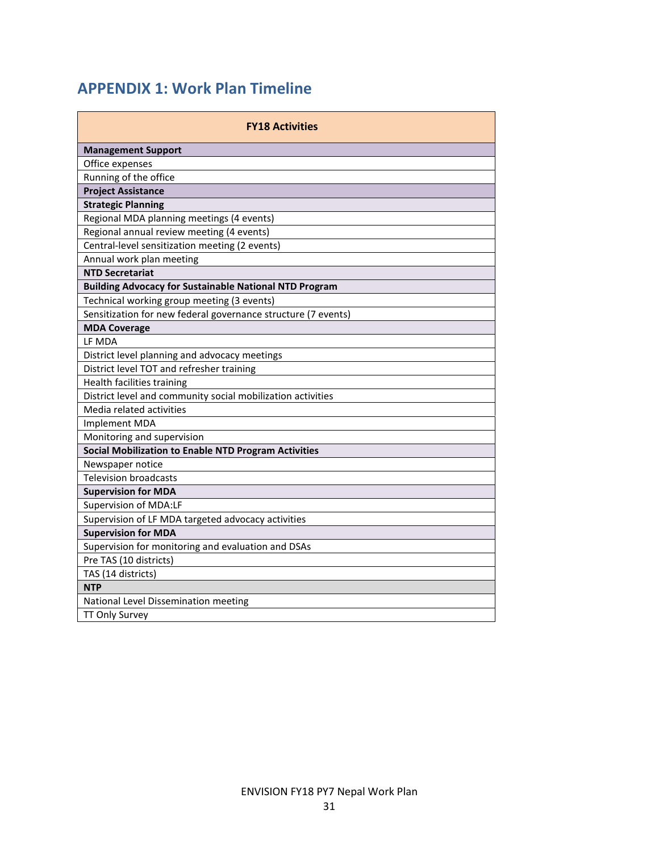# APPENDIX 1: Work Plan Timeline

| <b>FY18 Activities</b>                                        |  |  |  |  |  |  |  |  |  |
|---------------------------------------------------------------|--|--|--|--|--|--|--|--|--|
| <b>Management Support</b>                                     |  |  |  |  |  |  |  |  |  |
| Office expenses                                               |  |  |  |  |  |  |  |  |  |
| Running of the office                                         |  |  |  |  |  |  |  |  |  |
| <b>Project Assistance</b>                                     |  |  |  |  |  |  |  |  |  |
| <b>Strategic Planning</b>                                     |  |  |  |  |  |  |  |  |  |
| Regional MDA planning meetings (4 events)                     |  |  |  |  |  |  |  |  |  |
| Regional annual review meeting (4 events)                     |  |  |  |  |  |  |  |  |  |
| Central-level sensitization meeting (2 events)                |  |  |  |  |  |  |  |  |  |
| Annual work plan meeting                                      |  |  |  |  |  |  |  |  |  |
| <b>NTD Secretariat</b>                                        |  |  |  |  |  |  |  |  |  |
| <b>Building Advocacy for Sustainable National NTD Program</b> |  |  |  |  |  |  |  |  |  |
| Technical working group meeting (3 events)                    |  |  |  |  |  |  |  |  |  |
| Sensitization for new federal governance structure (7 events) |  |  |  |  |  |  |  |  |  |
| <b>MDA Coverage</b>                                           |  |  |  |  |  |  |  |  |  |
| LF MDA                                                        |  |  |  |  |  |  |  |  |  |
| District level planning and advocacy meetings                 |  |  |  |  |  |  |  |  |  |
| District level TOT and refresher training                     |  |  |  |  |  |  |  |  |  |
| Health facilities training                                    |  |  |  |  |  |  |  |  |  |
| District level and community social mobilization activities   |  |  |  |  |  |  |  |  |  |
| Media related activities                                      |  |  |  |  |  |  |  |  |  |
| Implement MDA                                                 |  |  |  |  |  |  |  |  |  |
| Monitoring and supervision                                    |  |  |  |  |  |  |  |  |  |
| Social Mobilization to Enable NTD Program Activities          |  |  |  |  |  |  |  |  |  |
| Newspaper notice                                              |  |  |  |  |  |  |  |  |  |
| <b>Television broadcasts</b>                                  |  |  |  |  |  |  |  |  |  |
| <b>Supervision for MDA</b>                                    |  |  |  |  |  |  |  |  |  |
| Supervision of MDA:LF                                         |  |  |  |  |  |  |  |  |  |
| Supervision of LF MDA targeted advocacy activities            |  |  |  |  |  |  |  |  |  |
| <b>Supervision for MDA</b>                                    |  |  |  |  |  |  |  |  |  |
| Supervision for monitoring and evaluation and DSAs            |  |  |  |  |  |  |  |  |  |
| Pre TAS (10 districts)                                        |  |  |  |  |  |  |  |  |  |
| TAS (14 districts)                                            |  |  |  |  |  |  |  |  |  |
| <b>NTP</b>                                                    |  |  |  |  |  |  |  |  |  |
| National Level Dissemination meeting                          |  |  |  |  |  |  |  |  |  |
| TT Only Survey                                                |  |  |  |  |  |  |  |  |  |